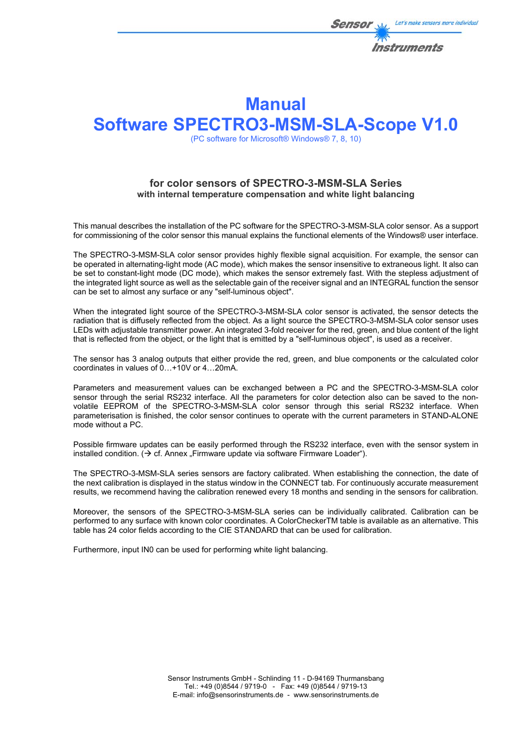

# **Manual Software SPECTRO3-MSM-SLA-Scope V1.0**

(PC software for Microsoft® Windows® 7, 8, 10)

## **for color sensors of SPECTRO-3-MSM-SLA Series with internal temperature compensation and white light balancing**

This manual describes the installation of the PC software for the SPECTRO-3-MSM-SLA color sensor. As a support for commissioning of the color sensor this manual explains the functional elements of the Windows® user interface.

The SPECTRO-3-MSM-SLA color sensor provides highly flexible signal acquisition. For example, the sensor can be operated in alternating-light mode (AC mode), which makes the sensor insensitive to extraneous light. It also can be set to constant-light mode (DC mode), which makes the sensor extremely fast. With the stepless adjustment of the integrated light source as well as the selectable gain of the receiver signal and an INTEGRAL function the sensor can be set to almost any surface or any "self-luminous object".

When the integrated light source of the SPECTRO-3-MSM-SLA color sensor is activated, the sensor detects the radiation that is diffusely reflected from the object. As a light source the SPECTRO-3-MSM-SLA color sensor uses LEDs with adjustable transmitter power. An integrated 3-fold receiver for the red, green, and blue content of the light that is reflected from the object, or the light that is emitted by a "self-luminous object", is used as a receiver.

The sensor has 3 analog outputs that either provide the red, green, and blue components or the calculated color coordinates in values of 0…+10V or 4…20mA.

Parameters and measurement values can be exchanged between a PC and the SPECTRO-3-MSM-SLA color sensor through the serial RS232 interface. All the parameters for color detection also can be saved to the nonvolatile EEPROM of the SPECTRO-3-MSM-SLA color sensor through this serial RS232 interface. When parameterisation is finished, the color sensor continues to operate with the current parameters in STAND-ALONE mode without a PC.

Possible firmware updates can be easily performed through the RS232 interface, even with the sensor system in installed condition.  $\Theta$  cf. Annex . Firmware update via software Firmware Loader").

The SPECTRO-3-MSM-SLA series sensors are factory calibrated. When establishing the connection, the date of the next calibration is displayed in the status window in the CONNECT tab. For continuously accurate measurement results, we recommend having the calibration renewed every 18 months and sending in the sensors for calibration.

Moreover, the sensors of the SPECTRO-3-MSM-SLA series can be individually calibrated. Calibration can be performed to any surface with known color coordinates. A ColorCheckerTM table is available as an alternative. This table has 24 color fields according to the CIE STANDARD that can be used for calibration.

Furthermore, input IN0 can be used for performing white light balancing.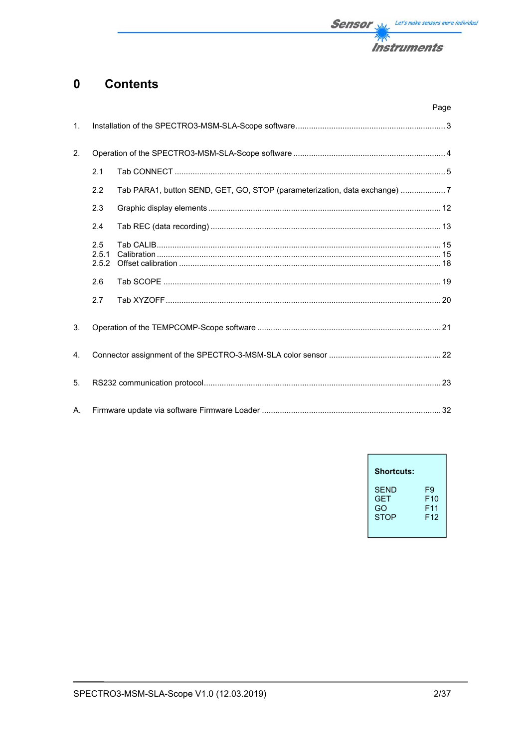

#### **Contents**  $\mathbf 0$

|                |                       |                                                                           | Page |
|----------------|-----------------------|---------------------------------------------------------------------------|------|
| 1.             |                       |                                                                           |      |
| 2.             |                       |                                                                           |      |
|                | 2.1                   |                                                                           |      |
|                | 2.2                   | Tab PARA1, button SEND, GET, GO, STOP (parameterization, data exchange) 7 |      |
|                | 2.3                   |                                                                           |      |
|                | 2.4                   |                                                                           |      |
|                | 2.5<br>2.5.1<br>2.5.2 |                                                                           |      |
|                | 2.6                   |                                                                           |      |
|                | 2.7                   |                                                                           |      |
| 3.             |                       |                                                                           |      |
| $\mathbf{4}$ . |                       |                                                                           |      |
| 5.             |                       |                                                                           |      |
| А.             |                       |                                                                           |      |

| <b>Shortcuts:</b> |                 |
|-------------------|-----------------|
| <b>SEND</b>       | F9              |
| GFT               | F10             |
| GO                | F11             |
| <b>STOP</b>       | F <sub>12</sub> |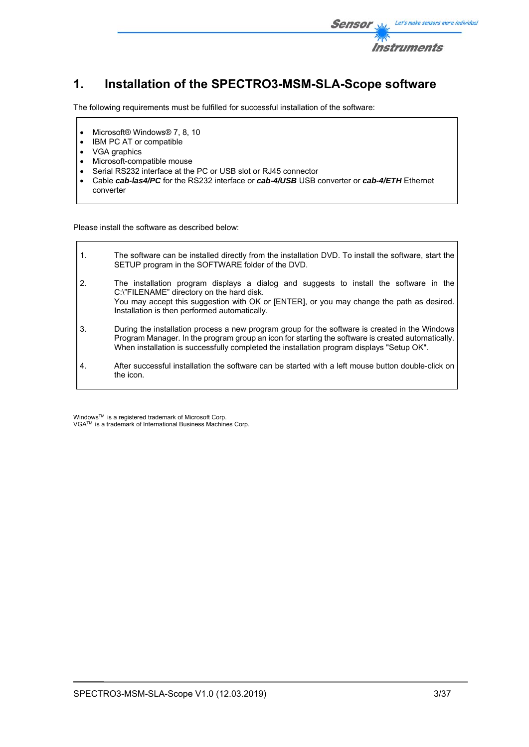

# **1. Installation of the SPECTRO3-MSM-SLA-Scope software**

The following requirements must be fulfilled for successful installation of the software:

- Microsoft® Windows® 7, 8, 10
- IBM PC AT or compatible
- VGA graphics

 $\mathsf{r}$ 

- Microsoft-compatible mouse
- Serial RS232 interface at the PC or USB slot or RJ45 connector
- Cable *cab-las4/PC* for the RS232 interface or *cab-4/USB* USB converter or *cab-4/ETH* Ethernet converter

Please install the software as described below:

| $\mathbf{1}$ . | The software can be installed directly from the installation DVD. To install the software, start the<br>SETUP program in the SOFTWARE folder of the DVD.                                                                                                                                         |
|----------------|--------------------------------------------------------------------------------------------------------------------------------------------------------------------------------------------------------------------------------------------------------------------------------------------------|
| 2.             | The installation program displays a dialog and suggests to install the software in the<br>C:\"FILENAME" directory on the hard disk.<br>You may accept this suggestion with OK or [ENTER], or you may change the path as desired.<br>Installation is then performed automatically.                |
| 3.             | During the installation process a new program group for the software is created in the Windows<br>Program Manager. In the program group an icon for starting the software is created automatically.<br>When installation is successfully completed the installation program displays "Setup OK". |
| 4.             | After successful installation the software can be started with a left mouse button double-click on<br>the icon.                                                                                                                                                                                  |

Windows™ is a registered trademark of Microsoft Corp. VGA<sup>™</sup> is a trademark of International Business Machines Corp.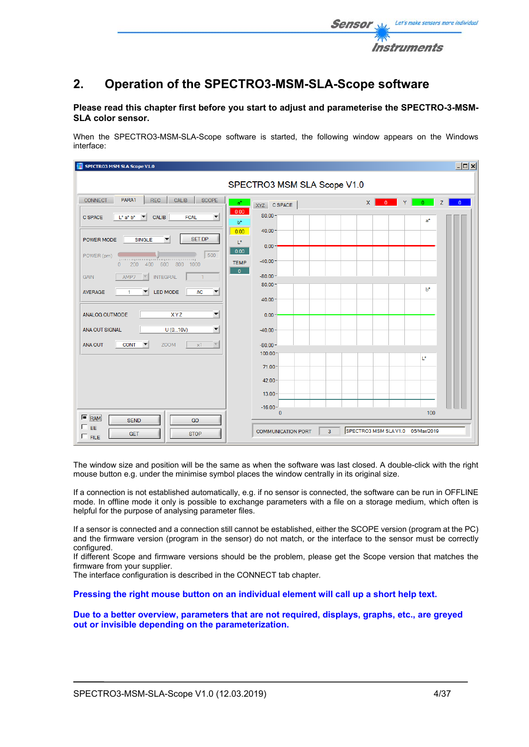

## **2. Operation of the SPECTRO3-MSM-SLA-Scope software**

### **Please read this chapter first before you start to adjust and parameterise the SPECTRO-3-MSM-SLA color sensor.**

When the SPECTRO3-MSM-SLA-Scope software is started, the following window appears on the Windows interface:

| <b>SPECTRO3 MSM SLA Scope V1.0</b>                                                                            |                                |                                           | $\Box$ o $\times$   |
|---------------------------------------------------------------------------------------------------------------|--------------------------------|-------------------------------------------|---------------------|
|                                                                                                               | SPECTRO3 MSM SLA Scope V1.0    |                                           |                     |
| PARA1<br>CALIB<br>SCOPE<br><b>REC</b><br><b>CONNECT</b><br>$a^*$                                              | XYZ C SPACE                    | $0$ $Y$<br>$\mathsf{x}$<br>0 <sup>1</sup> | Z<br>$\overline{0}$ |
| 0.00<br>$\blacktriangledown$<br><b>C SPACE</b><br>$L^*$ a* $b^*$<br><b>CALIB</b><br><b>FCAL</b><br>▼<br>$b^*$ | 80.00                          | $a^*$                                     |                     |
| 0.00<br><b>SET DP</b><br>POWER MODE<br><b>SINGLE</b><br>▼                                                     | 40.00                          |                                           |                     |
| $\mathsf{L}^\star$<br>0.00<br>500<br>POWER (pm)                                                               | $0.00 -$                       |                                           |                     |
| րուսզառողանորուսզուող<br><b>TEMP</b><br>600<br>800<br>200<br>400<br>1000<br>$\Omega$                          | $-40.00$<br>$\mathbf{0}$       |                                           |                     |
| <b>INTEGRAL</b><br>AMP7<br><b>GAIN</b><br>$\vert \nabla \vert$<br>$\vert$                                     | $-80.00 -$<br>80.00            | $b*$                                      |                     |
| LED MODE<br>AC<br>$\blacktriangledown$<br><b>AVERAGE</b><br>1<br>▼                                            | 40.00                          |                                           |                     |
| $\blacktriangledown$<br>ANALOG OUTMODE<br>XYZ                                                                 | $0.00 -$                       |                                           |                     |
| $\blacktriangledown$<br>U(010V)<br>ANA OUT SIGNAL                                                             | $-40.00$                       |                                           |                     |
| $\overline{\nabla}$<br><b>ANA OUT</b><br><b>CONT</b><br>$\overline{\phantom{a}}$<br><b>ZOOM</b><br>x1         | $-80.00-$<br>100.00            |                                           |                     |
|                                                                                                               | $71.00 -$                      | L*                                        |                     |
|                                                                                                               | 42.00                          |                                           |                     |
|                                                                                                               | $13.00 -$                      |                                           |                     |
| $F_{RAM}$                                                                                                     | $-16.00-$<br>$\mathbf{0}$      | 100                                       |                     |
| <b>SEND</b><br>GO<br>EE<br><b>STOP</b><br><b>GET</b><br>$\Gamma$ FILE                                         | 3<br><b>COMMUNICATION PORT</b> | SPECTRO3 MSM SLAV1.0 05/Mar/2019          |                     |

The window size and position will be the same as when the software was last closed. A double-click with the right mouse button e.g. under the minimise symbol places the window centrally in its original size.

If a connection is not established automatically, e.g. if no sensor is connected, the software can be run in OFFLINE mode. In offline mode it only is possible to exchange parameters with a file on a storage medium, which often is helpful for the purpose of analysing parameter files.

If a sensor is connected and a connection still cannot be established, either the SCOPE version (program at the PC) and the firmware version (program in the sensor) do not match, or the interface to the sensor must be correctly configured.

If different Scope and firmware versions should be the problem, please get the Scope version that matches the firmware from your supplier.

The interface configuration is described in the CONNECT tab chapter.

**Pressing the right mouse button on an individual element will call up a short help text.** 

**Due to a better overview, parameters that are not required, displays, graphs, etc., are greyed out or invisible depending on the parameterization.**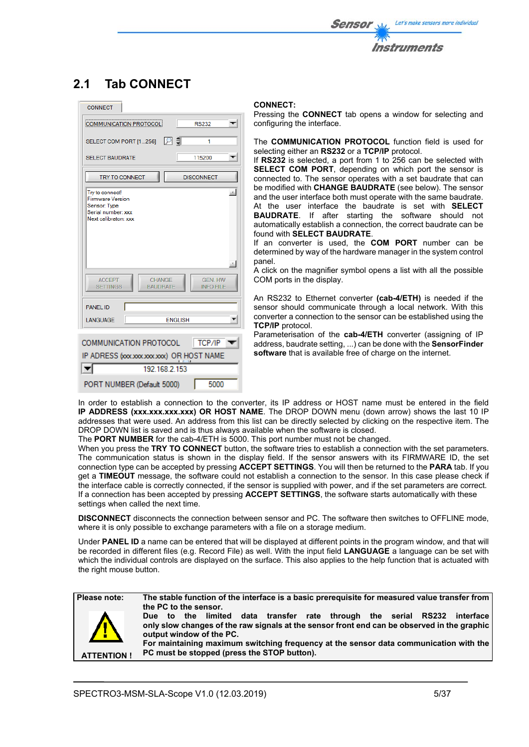

# **2.1 Tab CONNECT**

| <b>CONNECT</b>                                                                                                                                                            |                                                              |
|---------------------------------------------------------------------------------------------------------------------------------------------------------------------------|--------------------------------------------------------------|
| COMMUNICATION PROTOCOL                                                                                                                                                    | <b>RS232</b>                                                 |
| SELECT COM PORT [1256]                                                                                                                                                    | I DI ‡I<br>1                                                 |
| <b>SELECT BAUDRATE</b>                                                                                                                                                    | 115200                                                       |
| <b>TRY TO CONNECT</b>                                                                                                                                                     | <b>DISCONNECT</b>                                            |
| Try to connect!<br><b>Firmware Version</b><br>Sensor: Type<br>Serial number: xxx<br>Next calibraton: xxx<br><b>ACCEPT</b><br>CHANGE<br><b>SETTINGS</b><br><b>BAUDRATE</b> | ph.<br>$\mathcal{R}_-$<br><b>GEN. HW</b><br><b>INFO FILE</b> |
| <b>PANEL ID</b>                                                                                                                                                           |                                                              |
| LANGUAGE                                                                                                                                                                  | <b>FNGLISH</b>                                               |
| COMMUNICATION PROTOCOL<br>IP ADRESS (xxxxxxxxxxxxx) OR HOST NAME<br>192 168 2 153                                                                                         | $  $ TCP/IP                                                  |
|                                                                                                                                                                           |                                                              |
| PORT NUMBER (Default 5000)                                                                                                                                                | 5000                                                         |

### **CONNECT:**

Pressing the **CONNECT** tab opens a window for selecting and configuring the interface.

The **COMMUNICATION PROTOCOL** function field is used for selecting either an **RS232** or a **TCP/IP** protocol.

If **RS232** is selected, a port from 1 to 256 can be selected with **SELECT COM PORT**, depending on which port the sensor is connected to. The sensor operates with a set baudrate that can be modified with **CHANGE BAUDRATE** (see below). The sensor and the user interface both must operate with the same baudrate. At the user interface the baudrate is set with **SELECT BAUDRATE**. If after starting the software should not automatically establish a connection, the correct baudrate can be found with **SELECT BAUDRATE**.

If an converter is used, the **COM PORT** number can be determined by way of the hardware manager in the system control panel.

A click on the magnifier symbol opens a list with all the possible COM ports in the display.

An RS232 to Ethernet converter **(cab-4/ETH)** is needed if the sensor should communicate through a local network. With this converter a connection to the sensor can be established using the **TCP/IP** protocol.

Parameterisation of the **cab-4/ETH** converter (assigning of IP address, baudrate setting, ...) can be done with the **SensorFinder software** that is available free of charge on the internet.

In order to establish a connection to the converter, its IP address or HOST name must be entered in the field **IP ADDRESS (xxx.xxx.xxx.xxx) OR HOST NAME**. The DROP DOWN menu (down arrow) shows the last 10 IP addresses that were used. An address from this list can be directly selected by clicking on the respective item. The DROP DOWN list is saved and is thus always available when the software is closed.

The **PORT NUMBER** for the cab-4/ETH is 5000. This port number must not be changed.

When you press the **TRY TO CONNECT** button, the software tries to establish a connection with the set parameters. The communication status is shown in the display field. If the sensor answers with its FIRMWARE ID, the set connection type can be accepted by pressing **ACCEPT SETTINGS**. You will then be returned to the **PARA** tab. If you get a **TIMEOUT** message, the software could not establish a connection to the sensor. In this case please check if the interface cable is correctly connected, if the sensor is supplied with power, and if the set parameters are correct. If a connection has been accepted by pressing **ACCEPT SETTINGS**, the software starts automatically with these settings when called the next time.

**DISCONNECT** disconnects the connection between sensor and PC. The software then switches to OFFLINE mode, where it is only possible to exchange parameters with a file on a storage medium.

Under **PANEL ID** a name can be entered that will be displayed at different points in the program window, and that will be recorded in different files (e.g. Record File) as well. With the input field **LANGUAGE** a language can be set with which the individual controls are displayed on the surface. This also applies to the help function that is actuated with the right mouse button.



**Please note: The stable function of the interface is a basic prerequisite for measured value transfer from the PC to the sensor.** 

**Due to the limited data transfer rate through the serial RS232 interface only slow changes of the raw signals at the sensor front end can be observed in the graphic output window of the PC.** 

**For maintaining maximum switching frequency at the sensor data communication with the PC must be stopped (press the STOP button).**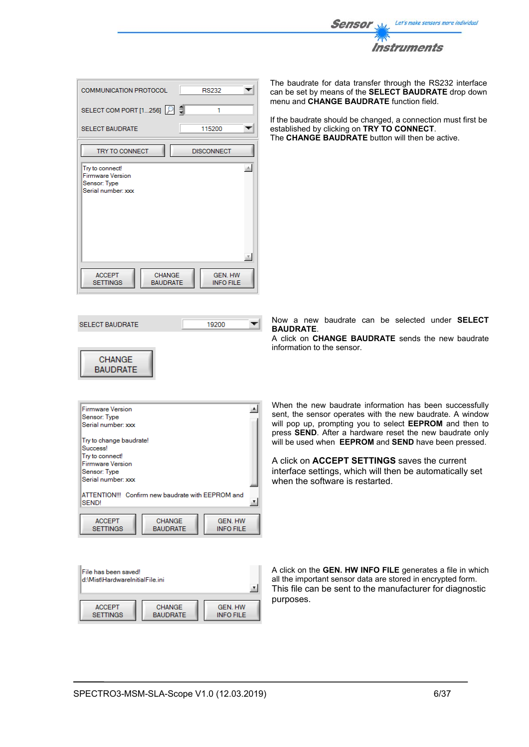

| <b>COMMUNICATION PROTOCOL</b><br><b>RS232</b>                                                              |
|------------------------------------------------------------------------------------------------------------|
| SELECT COM PORT [1256]<br>1                                                                                |
| 115200<br><b>SELECT BAUDRATE</b>                                                                           |
| <b>TRY TO CONNECT</b><br><b>DISCONNECT</b>                                                                 |
| do.<br>Try to connect!<br><b>Firmware Version</b><br>Sensor: Type<br>Serial number: xxx                    |
| <b>ACCEPT</b><br><b>CHANGE</b><br><b>GEN. HW</b><br><b>BAUDRATE</b><br><b>SETTINGS</b><br><b>INFO FILE</b> |

**SELECT BAUDRATE** 

**CHANGE BAUDRATE**  The baudrate for data transfer through the RS232 interface can be set by means of the **SELECT BAUDRATE** drop down menu and **CHANGE BAUDRATE** function field.

If the baudrate should be changed, a connection must first be established by clicking on **TRY TO CONNECT**. The **CHANGE BAUDRATE** button will then be active.

Now a new baudrate can be selected under **SELECT BAUDRATE**.

A click on **CHANGE BAUDRATE** sends the new baudrate information to the sensor.

| <b>Firmware Version</b>                                |  |
|--------------------------------------------------------|--|
| Sensor: Type                                           |  |
| Serial number: xxx                                     |  |
| Try to change baudrate!                                |  |
| Success!                                               |  |
| Try to connect!                                        |  |
| <b>Firmware Version</b>                                |  |
| Sensor: Type                                           |  |
| Serial number: xxx                                     |  |
|                                                        |  |
| ATTENTION!!! Confirm new baudrate with EEPROM and      |  |
| SEND!                                                  |  |
|                                                        |  |
| <b>ACCEPT</b><br><b>CHANGE</b><br><b>GEN. HW</b>       |  |
| <b>BAUDRATE</b><br><b>INFO FILE</b><br><b>SETTINGS</b> |  |
|                                                        |  |

19200

 $\overline{\mathbf{v}}$ 

| File has been saved!<br>ld:\Mist\HardwareInitialFile.ini |                 |                  |
|----------------------------------------------------------|-----------------|------------------|
| <b>ACCEPT</b>                                            | <b>CHANGE</b>   | <b>GEN. HW</b>   |
| <b>SETTINGS</b>                                          | <b>BAUDRATE</b> | <b>INFO FILE</b> |

When the new baudrate information has been successfully sent, the sensor operates with the new baudrate. A window will pop up, prompting you to select **EEPROM** and then to press **SEND**. After a hardware reset the new baudrate only will be used when **EEPROM** and **SEND** have been pressed.

A click on **ACCEPT SETTINGS** saves the current interface settings, which will then be automatically set when the software is restarted.

A click on the **GEN. HW INFO FILE** generates a file in which all the important sensor data are stored in encrypted form. This file can be sent to the manufacturer for diagnostic purposes.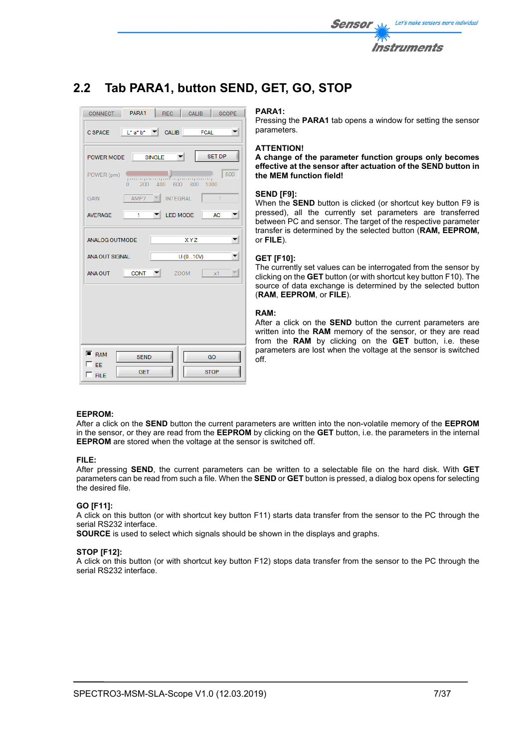

# **2.2 Tab PARA1, button SEND, GET, GO, STOP**



### **PARA1:**

Pressing the **PARA1** tab opens a window for setting the sensor parameters.

### **ATTENTION!**

**A change of the parameter function groups only becomes effective at the sensor after actuation of the SEND button in the MEM function field!** 

### **SEND [F9]:**

When the **SEND** button is clicked (or shortcut key button F9 is pressed), all the currently set parameters are transferred between PC and sensor. The target of the respective parameter transfer is determined by the selected button (**RAM, EEPROM,**  or **FILE**).

### **GET [F10]:**

The currently set values can be interrogated from the sensor by clicking on the **GET** button (or with shortcut key button F10). The source of data exchange is determined by the selected button (**RAM**, **EEPROM**, or **FILE**).

### **RAM:**

After a click on the **SEND** button the current parameters are written into the **RAM** memory of the sensor, or they are read from the **RAM** by clicking on the **GET** button, i.e. these parameters are lost when the voltage at the sensor is switched off.

### **EEPROM:**

After a click on the **SEND** button the current parameters are written into the non-volatile memory of the **EEPROM** in the sensor, or they are read from the **EEPROM** by clicking on the **GET** button, i.e. the parameters in the internal **EEPROM** are stored when the voltage at the sensor is switched off.

### **FILE:**

After pressing **SEND**, the current parameters can be written to a selectable file on the hard disk. With **GET** parameters can be read from such a file. When the **SEND** or **GET** button is pressed, a dialog box opens for selecting the desired file.

### **GO [F11]:**

A click on this button (or with shortcut key button F11) starts data transfer from the sensor to the PC through the serial RS232 interface.

**SOURCE** is used to select which signals should be shown in the displays and graphs.

### **STOP [F12]:**

A click on this button (or with shortcut key button F12) stops data transfer from the sensor to the PC through the serial RS232 interface.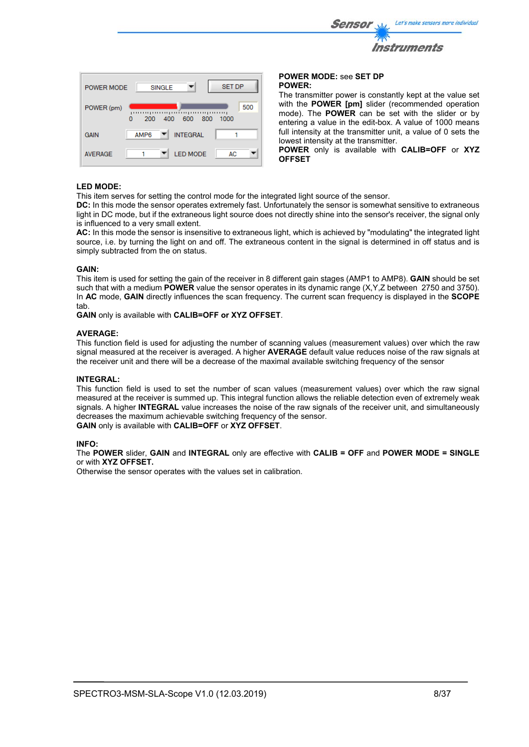

with the **POWER [pm]** slider (recommended operation mode). The **POWER** can be set with the slider or by entering a value in the edit-box. A value of 1000 means full intensity at the transmitter unit, a value of 0 sets the lowest intensity at the transmitter.

**POWER** only is available with **CALIB=OFF** or **XYZ OFFSET**

### **LED MODE:**

AVERAGE

POWER (pm)

**GAIN** 

200

AMP6

 $\Omega$ 

400

 $\mathbf{v}$ 

 $\overline{\mathbf{v}}$ 

This item serves for setting the control mode for the integrated light source of the sensor.

h

**AC** 

500

.<br>mpomoponin

800 1000

600

**INTEGRAL** 

**LED MODE** 

**DC:** In this mode the sensor operates extremely fast. Unfortunately the sensor is somewhat sensitive to extraneous light in DC mode, but if the extraneous light source does not directly shine into the sensor's receiver, the signal only is influenced to a very small extent.

**AC:** In this mode the sensor is insensitive to extraneous light, which is achieved by "modulating" the integrated light source, i.e. by turning the light on and off. The extraneous content in the signal is determined in off status and is simply subtracted from the on status.

### **GAIN:**

This item is used for setting the gain of the receiver in 8 different gain stages (AMP1 to AMP8). **GAIN** should be set such that with a medium **POWER** value the sensor operates in its dynamic range (X,Y,Z between 2750 and 3750). In **AC** mode, **GAIN** directly influences the scan frequency. The current scan frequency is displayed in the **SCOPE** tab.

**GAIN** only is available with **CALIB=OFF or XYZ OFFSET**.

### **AVERAGE:**

This function field is used for adjusting the number of scanning values (measurement values) over which the raw signal measured at the receiver is averaged. A higher **AVERAGE** default value reduces noise of the raw signals at the receiver unit and there will be a decrease of the maximal available switching frequency of the sensor

### **INTEGRAL:**

This function field is used to set the number of scan values (measurement values) over which the raw signal measured at the receiver is summed up. This integral function allows the reliable detection even of extremely weak signals. A higher **INTEGRAL** value increases the noise of the raw signals of the receiver unit, and simultaneously decreases the maximum achievable switching frequency of the sensor. **GAIN** only is available with **CALIB=OFF** or **XYZ OFFSET**.

### **INFO:**

The **POWER** slider, **GAIN** and **INTEGRAL** only are effective with **CALIB = OFF** and **POWER MODE = SINGLE** or with **XYZ OFFSET.** 

Otherwise the sensor operates with the values set in calibration.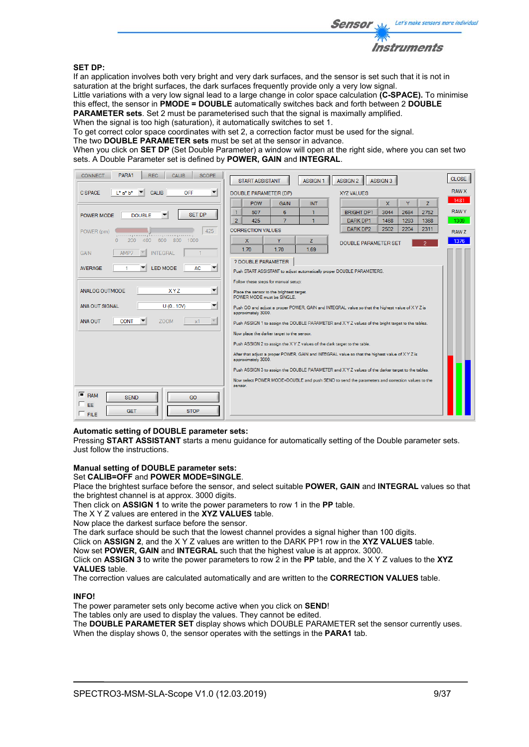

### **SET DP:**

If an application involves both very bright and very dark surfaces, and the sensor is set such that it is not in saturation at the bright surfaces, the dark surfaces frequently provide only a very low signal.

Little variations with a very low signal lead to a large change in color space calculation **(C-SPACE).** To minimise this effect, the sensor in **PMODE = DOUBLE** automatically switches back and forth between 2 **DOUBLE PARAMETER sets**. Set 2 must be parameterised such that the signal is maximally amplified.

When the signal is too high (saturation), it automatically switches to set 1.

To get correct color space coordinates with set 2, a correction factor must be used for the signal.

The two **DOUBLE PARAMETER sets** must be set at the sensor in advance.

When you click on **SET DP** (Set Double Parameter) a window will open at the right side, where you can set two sets. A Double Parameter set is defined by **POWER, GAIN** and **INTEGRAL**.

| PARA1<br><b>REC</b><br><b>SCOPE</b><br><b>CONNECT</b><br><b>CALIB</b> | <b>START ASSISTANT</b><br><b>ASSIGN 1</b><br>ASSIGN <sub>2</sub><br><b>ASSIGN 3</b>                                    | <b>CLOSE</b> |
|-----------------------------------------------------------------------|------------------------------------------------------------------------------------------------------------------------|--------------|
| <b>C SPACE</b><br>$L^*$ a* $b^*$<br><b>OFF</b><br><b>CALIB</b>        | DOUBLE PARAMETER (DP)<br><b>XYZ VALUES</b>                                                                             | <b>RAW X</b> |
|                                                                       | <b>POW</b><br><b>X</b><br>Y<br>Z<br><b>GAIN</b><br><b>INT</b>                                                          | 1481         |
| <b>SET DP</b><br><b>DOUBLE</b><br>POWER MODE                          | 2684<br>$\mathbf{1}$<br>6<br>1<br><b>BRIGHT DP1</b><br>3044<br>2752<br>507                                             | <b>RAWY</b>  |
|                                                                       | $\overline{7}$<br>$\overline{2}$<br>425<br>$\mathbf{1}$<br>1468<br>1293<br>1368<br>DARK DP1                            | 1309         |
| 425<br>POWER (pm)<br>րուսդուսումնադրուսորուսո                         | DARK DP2<br>2502<br>2204<br>2311<br><b>CORRECTION VALUES</b>                                                           | RAW Z        |
| 200<br>400<br>600<br>800<br>1000<br>$\Omega$                          | Ÿ<br>$\mathbf{x}$<br>z<br><b>DOUBLE PARAMETER SET</b>                                                                  | 1376         |
| <b>INTEGRAL</b><br><b>GAIN</b><br>AMP7                                | 1.70<br>1.70<br>1.69                                                                                                   |              |
|                                                                       | ? DOUBLE PARAMETER                                                                                                     |              |
| <b>LED MODE</b><br><b>AC</b><br><b>AVERAGE</b>                        | Push START ASSISTANT to adjust automatically proper DOUBLE PARAMETERS.                                                 |              |
|                                                                       | Follow these steps for manual setup:                                                                                   |              |
| <b>ANALOG OUTMODE</b><br><b>XYZ</b><br>▼                              | Place the sensor to the brightest target.<br>POWER MODE must be SINGLE.                                                |              |
| ▼<br>ANA OUT SIGNAL<br>U(010V)                                        | Push GO and adjust a proper POWER, GAIN and INTEGRAL value so that the highest value of XYZ is<br>approximately 3000.  |              |
| <b>CONT</b><br><b>ZOOM</b><br><b>ANA OUT</b><br>x1                    | Push ASSIGN 1 to assign the DOUBLE PARAMETER and XYZ values of the bright target to the tables.                        |              |
|                                                                       | Now place the darker target to the sensor.                                                                             |              |
|                                                                       | Push ASSIGN 2 to assign the X Y Z values of the dark target to the table.                                              |              |
|                                                                       | After that adjust a proper POWER, GAIN and INTEGRAL value so that the highest value of X Y Z is<br>approximately 3000. |              |
|                                                                       | Push ASSIGN 3 to assign the DOUBLE PARAMETER and X Y Z values of the darker target to the tables.                      |              |
|                                                                       | Now select POWER MODE=DOUBLE and push SEND to send the parameters and correction values to the                         |              |
|                                                                       | sensor.                                                                                                                |              |
| $F$ RAM<br><b>SEND</b><br>GO                                          |                                                                                                                        |              |
| E<br><b>STOP</b><br><b>GET</b>                                        |                                                                                                                        |              |
| $\Gamma$ FILE                                                         |                                                                                                                        |              |

### **Automatic setting of DOUBLE parameter sets:**

Pressing **START ASSISTANT** starts a menu guidance for automatically setting of the Double parameter sets. Just follow the instructions.

### **Manual setting of DOUBLE parameter sets:**

Set **CALIB=OFF** and **POWER MODE=SINGLE**.

Place the brightest surface before the sensor, and select suitable **POWER, GAIN** and **INTEGRAL** values so that the brightest channel is at approx. 3000 digits.

Then click on **ASSIGN 1** to write the power parameters to row 1 in the **PP** table.

The X Y Z values are entered in the **XYZ VALUES** table.

Now place the darkest surface before the sensor.

The dark surface should be such that the lowest channel provides a signal higher than 100 digits.

Click on **ASSIGN 2**, and the X Y Z values are written to the DARK PP1 row in the **XYZ VALUES** table.

Now set **POWER, GAIN** and **INTEGRAL** such that the highest value is at approx. 3000.

Click on **ASSIGN 3** to write the power parameters to row 2 in the **PP** table, and the X Y Z values to the **XYZ VALUES** table.

The correction values are calculated automatically and are written to the **CORRECTION VALUES** table.

## **INFO!**

The power parameter sets only become active when you click on **SEND**!

The tables only are used to display the values. They cannot be edited.

The **DOUBLE PARAMETER SET** display shows which DOUBLE PARAMETER set the sensor currently uses. When the display shows 0, the sensor operates with the settings in the **PARA1** tab.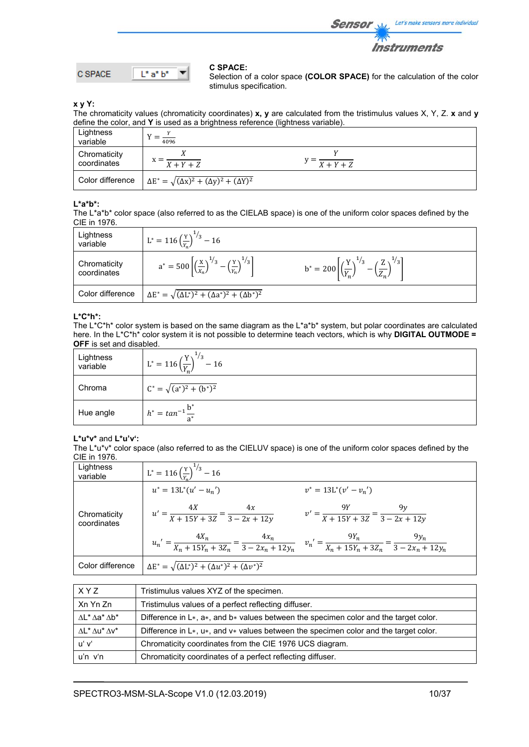

$$
C \text{SPACE} \qquad \boxed{\mathsf{L}^* \mathsf{a}^* \mathsf{b}^*}
$$

### **C SPACE:**

Selection of a color space **(COLOR SPACE)** for the calculation of the color stimulus specification.

**x y Y:** 

The chromaticity values (chromaticity coordinates) **x, y** are calculated from the tristimulus values X, Y, Z. **x** and **y** define the color, and **Y** is used as a brightness reference (lightness variable).

| Lightness<br>variable       | 4096                                                             |                           |  |
|-----------------------------|------------------------------------------------------------------|---------------------------|--|
| Chromaticity<br>coordinates | $X + Y + Z$                                                      | $y = \frac{X+Y+Z}{X+Y+Z}$ |  |
| Color difference            | $\Delta E^* = \sqrt{(\Delta x)^2 + (\Delta y)^2 + (\Delta Y)^2}$ |                           |  |

### **L\*a\*b\*:**

The L\*a\*b\* color space (also referred to as the CIELAB space) is one of the uniform color spaces defined by the CIE in 1976.

| Lightness<br>variable       | $L^* = 116 \left(\frac{Y}{Y}\right)^{1/3} - 16$                                                    |                                                                                                    |
|-----------------------------|----------------------------------------------------------------------------------------------------|----------------------------------------------------------------------------------------------------|
| Chromaticity<br>coordinates | $a^* = 500 \left[ \left( \frac{x}{x_n} \right)^{1/3} - \left( \frac{y}{y_n} \right)^{1/3} \right]$ | $b^* = 200 \left[ \left( \frac{Y}{Y_n} \right)^{1/3} - \left( \frac{Z}{Z_n} \right)^{1/3} \right]$ |
| Color difference            | $\Delta E^* = \sqrt{(\Delta L^*)^2 + (\Delta a^*)^2 + (\Delta b^*)^2}$                             |                                                                                                    |

### **L\*C\*h\*:**

The L\*C\*h\* color system is based on the same diagram as the L\*a\*b\* system, but polar coordinates are calculated here. In the L\*C\*h\* color system it is not possible to determine teach vectors, which is why **DIGITAL OUTMODE = OFF** is set and disabled.

| Lightness<br>variable | $L^* = 116 \left(\frac{Y}{Y}\right)^{1/3} - 16$ |
|-----------------------|-------------------------------------------------|
| Chroma                | $C^* = \sqrt{(a^*)^2 + (b^*)^2}$                |
| Hue angle             | $h^* = \tan^{-1} \frac{b^*}{a^*}$               |

## **L\*u\*v\*** and **L\*u'v':**

The L\*u\*v\* color space (also referred to as the CIELUV space) is one of the uniform color spaces defined by the CIE in 1976.

| Lightness<br>variable       | $L^* = 116 \left(\frac{Y}{V}\right)^{1/3} - 16$                                                                                                   |
|-----------------------------|---------------------------------------------------------------------------------------------------------------------------------------------------|
|                             | $u^* = 13L^*(u' - u_n')$<br>$v^* = 13L^*(v' - v_n')$                                                                                              |
| Chromaticity<br>coordinates | $u' = \frac{4X}{X + 15Y + 3Z} = \frac{4x}{3 - 2x + 12y}$<br>$v' = \frac{9Y}{X + 15Y + 3Z} = \frac{9y}{3 - 2x + 12y}$                              |
|                             | $u_n' = \frac{4X_n}{X_n + 15Y_n + 3Z_n} = \frac{4x_n}{3 - 2x_n + 12y_n}$ $v_n' = \frac{9Y_n}{X_n + 15Y_n + 3Z_n} = \frac{9y_n}{3 - 2x_n + 12y_n}$ |
| Color difference            | $\Delta E^* = \sqrt{(\Delta L^*)^2 + (\Delta u^*)^2 + (\Delta v^*)^2}$                                                                            |

| X Y Z                                 | Tristimulus values XYZ of the specimen.                                                  |
|---------------------------------------|------------------------------------------------------------------------------------------|
| Xn Yn Zn                              | Tristimulus values of a perfect reflecting diffuser.                                     |
| $\Lambda L^* \Lambda a^* \Lambda b^*$ | Difference in $L*, a*,$ and $b*$ values between the specimen color and the target color. |
| $\Lambda L^* \Lambda u^* \Lambda v^*$ | Difference in $L*, u*,$ and $v*$ values between the specimen color and the target color. |
| uʻ vʻ                                 | Chromaticity coordinates from the CIE 1976 UCS diagram.                                  |
| $u'n$ $v'n$                           | Chromaticity coordinates of a perfect reflecting diffuser.                               |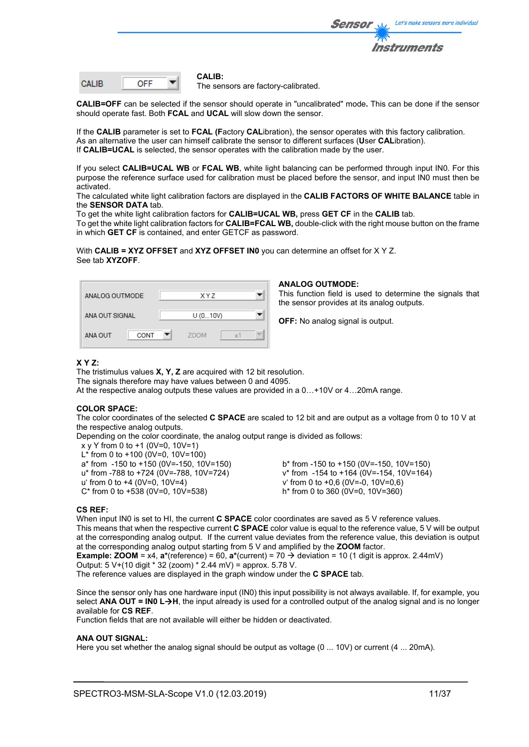

| CALIB. |  |
|--------|--|
|        |  |

#### **CALIB:**

The sensors are factory-calibrated.

**CALIB=OFF** can be selected if the sensor should operate in "uncalibrated" mode**.** This can be done if the sensor should operate fast. Both **FCAL** and **UCAL** will slow down the sensor.

If the **CALIB** parameter is set to **FCAL (F**actory **CAL**ibration), the sensor operates with this factory calibration. As an alternative the user can himself calibrate the sensor to different surfaces (**U**ser **CAL**ibration). If **CALIB=UCAL** is selected, the sensor operates with the calibration made by the user.

If you select **CALIB=UCAL WB** or **FCAL WB**, white light balancing can be performed through input IN0. For this purpose the reference surface used for calibration must be placed before the sensor, and input IN0 must then be activated.

The calculated white light calibration factors are displayed in the **CALIB FACTORS OF WHITE BALANCE** table in the **SENSOR DATA** tab.

To get the white light calibration factors for **CALIB=UCAL WB,** press **GET CF** in the **CALIB** tab.

To get the white light calibration factors for **CALIB=FCAL WB,** double-click with the right mouse button on the frame in which **GET CF** is contained, and enter GETCF as password.

With **CALIB = XYZ OFFSET** and **XYZ OFFSET IN0** you can determine an offset for X Y Z. See tab **XYZOFF**.

| ANALOG OUTMODE                | XYZ               |
|-------------------------------|-------------------|
| ANA OUT SIGNAL                | U(010V)           |
| <b>CONT</b><br><b>ANA OUT</b> | <b>ZOOM</b><br>x1 |

### **ANALOG OUTMODE:**

This function field is used to determine the signals that the sensor provides at its analog outputs.

**OFF:** No analog signal is output.

### **X Y Z:**

The tristimulus values **X, Y, Z** are acquired with 12 bit resolution. The signals therefore may have values between 0 and 4095. At the respective analog outputs these values are provided in a 0…+10V or 4…20mA range.

### **COLOR SPACE:**

The color coordinates of the selected **C SPACE** are scaled to 12 bit and are output as a voltage from 0 to 10 V at the respective analog outputs.

Depending on the color coordinate, the analog output range is divided as follows:

- x y Y from 0 to +1 (0V=0, 10V=1)
- L\* from 0 to +100 (0V=0, 10V=100)
- 
- 
- 
- $C^*$  from 0 to +538 (0V=0, 10V=538)

 $a^*$  from  $-150$  to  $+150$  (0V=-150, 10V=150) b\* from  $-150$  to  $+150$  (0V=-150, 10V=150)<br>
u\* from  $-788$  to  $+724$  (0V=-788, 10V=724) v\* from  $-154$  to  $+164$  (0V=-154, 10V=164) u\* from -788 to +724 (0V=-788, 10V=724) v\* from -154 to +164 (0V=-154, 10V=164)<br>u' from 0 to +4 (0V=0, 10V=4) v from 0 to +0,6 (0V=-0, 10V=0,6) v' from 0 to +0,6 (0V=-0, 10V=0,6)<br>h<sup>\*</sup> from 0 to 360 (0V=0, 10V=360)

### **CS REF:**

When input IN0 is set to HI, the current **C SPACE** color coordinates are saved as 5 V reference values. This means that when the respective current **C SPACE** color value is equal to the reference value, 5 V will be output at the corresponding analog output. If the current value deviates from the reference value, this deviation is output at the corresponding analog output starting from 5 V and amplified by the **ZOOM** factor.

**Example: <b>ZOOM** =  $x4$ ,  $a^*(reference) = 60$ ,  $a^*(current) = 70 \rightarrow deviation = 10 (1$  digit is approx. 2.44mV)

Output: 5 V+(10 digit \* 32 (zoom) \* 2.44 mV) = approx. 5.78 V.

The reference values are displayed in the graph window under the **C SPACE** tab.

Since the sensor only has one hardware input (IN0) this input possibility is not always available. If, for example, you select **ANA OUT = IN0 L→H**, the input already is used for a controlled output of the analog signal and is no longer available for **CS REF**.

Function fields that are not available will either be hidden or deactivated.

### **ANA OUT SIGNAL:**

Here you set whether the analog signal should be output as voltage (0 ... 10V) or current (4 ... 20mA).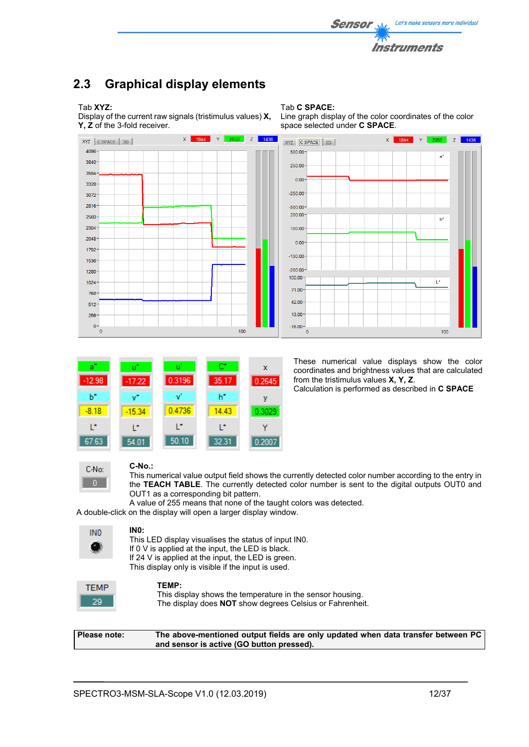

Line graph display of the color coordinates of the color

## **2.3 Graphical display elements**

Tab **XYZ:** 

4096

 $3840$ 

3584

 $3328$ 

3072 2816

 $2560$ 

2304

2048

1792

1536

1280

1024

768

 $512$ 

256  $\bullet$ 

 $\overline{a}$ 

Display of the current raw signals (tristimulus values) **X, Y, Z** of the 3-fold receiver.



Tab **C SPACE:**

| аĩ       | π÷       | u      | c     | x      |
|----------|----------|--------|-------|--------|
| $-12.98$ | $-17.22$ | 0.3196 | 35.17 | 0.2645 |
| ь        | v*       | v      | h*    | ν      |
| $-8.18$  | $-15.34$ | 0.4736 | 14.43 | 0.3029 |
| r        | r        | ı.     | r     |        |
| 67.63    | 54.01    | 50.10  | 32.31 | 0.2007 |

These numerical value displays show the color coordinates and brightness values that are calculated from the tristimulus values **X, Y, Z**.

Calculation is performed as described in **C SPACE**



## **C-No.:**

This numerical value output field shows the currently detected color number according to the entry in the **TEACH TABLE**. The currently detected color number is sent to the digital outputs OUT0 and OUT1 as a corresponding bit pattern.

A value of 255 means that none of the taught colors was detected.

A double-click on the display will open a larger display window.

| ıNl<br>٠ |  |
|----------|--|
|          |  |

**IN0:** 

| This LED display visualises the status of input INO.   |
|--------------------------------------------------------|
| If $0 \vee$ is applied at the input, the LED is black. |
| If 24 V is applied at the input, the LED is green.     |
| This display only is visible if the input is used.     |
|                                                        |

| и۴ |  |
|----|--|
|    |  |

**TEMP:**  This display shows the temperature in the sensor housing. The display does **NOT** show degrees Celsius or Fahrenheit.

| Please note: | The above-mentioned output fields are only updated when data transfer between PC |
|--------------|----------------------------------------------------------------------------------|
|              | and sensor is active (GO button pressed).                                        |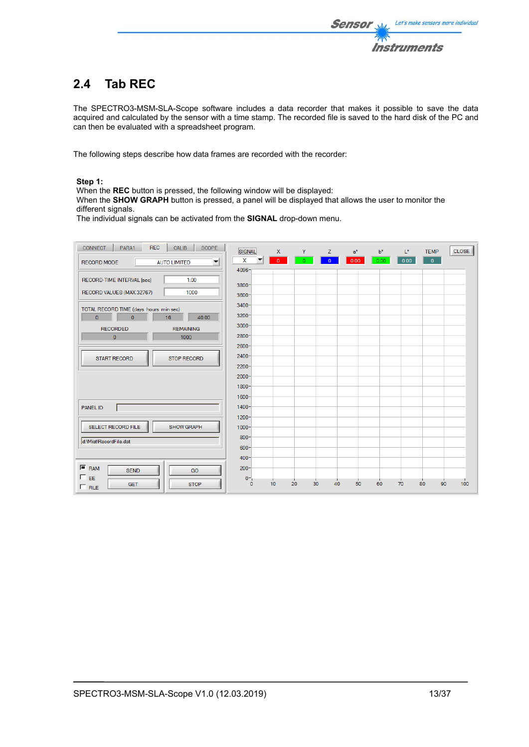

# **2.4 Tab REC**

The SPECTRO3-MSM-SLA-Scope software includes a data recorder that makes it possible to save the data acquired and calculated by the sensor with a time stamp. The recorded file is saved to the hard disk of the PC and can then be evaluated with a spreadsheet program.

The following steps describe how data frames are recorded with the recorder:

### **Step 1:**

When the **REC** button is pressed, the following window will be displayed:

When the **SHOW GRAPH** button is pressed, a panel will be displayed that allows the user to monitor the different signals.

The individual signals can be activated from the **SIGNAL** drop-down menu.

| <b>REC</b><br><b>CONNECT</b><br>PARA1<br>CALIB<br><b>SCOPE</b>       | SIGNAL               | $\mathsf{x}$ | Y.       | Z.             | $a^*$ | $b^*$ | $L^*$ | <b>TEMP</b>    | <b>CLOSE</b> |
|----------------------------------------------------------------------|----------------------|--------------|----------|----------------|-------|-------|-------|----------------|--------------|
| $\overline{\mathbf{v}}$<br><b>RECORD MODE</b><br><b>AUTO LIMITED</b> | x                    | $\mathbf{0}$ | O.       | $\overline{0}$ | 0.00  | 0.00  | 0.00  | $\overline{0}$ |              |
|                                                                      | $4096 -$             |              |          |                |       |       |       |                |              |
| RECORD-TIME INTERVAL [sec]<br>1.00                                   | $3800 -$             |              |          |                |       |       |       |                |              |
| RECORD VALUES (MAX 32767)<br>1000                                    | $3600 -$             |              |          |                |       |       |       |                |              |
| TOTAL RECORD TIME (days hours min sec)                               | $3400 -$             |              |          |                |       |       |       |                |              |
| $\overline{0}$<br>$\mathbf{0}$<br>16<br>40.00                        | $3200 -$             |              |          |                |       |       |       |                |              |
| <b>REMAINING</b><br><b>RECORDED</b>                                  | $3000 -$             |              |          |                |       |       |       |                |              |
| $\pmb{0}$<br>1000                                                    | $2800 -$             |              |          |                |       |       |       |                |              |
|                                                                      | $2600 -$<br>$2400 -$ |              |          |                |       |       |       |                |              |
| <b>START RECORD</b><br><b>STOP RECORD</b>                            | $2200 -$             |              |          |                |       |       |       |                |              |
|                                                                      | $2000 -$             |              |          |                |       |       |       |                |              |
|                                                                      | $1800 -$             |              |          |                |       |       |       |                |              |
|                                                                      | $1600 -$             |              |          |                |       |       |       |                |              |
| <b>PANEL ID</b>                                                      | $1400 -$             |              |          |                |       |       |       |                |              |
|                                                                      | $1200 -$             |              |          |                |       |       |       |                |              |
| SELECT RECORD FILE<br><b>SHOW GRAPH</b>                              | $1000 -$             |              |          |                |       |       |       |                |              |
| d:\Mist\RecordFile.dat                                               | $800 -$              |              |          |                |       |       |       |                |              |
|                                                                      | $600 -$<br>$400 -$   |              |          |                |       |       |       |                |              |
| $F$ RAM                                                              | $200 -$              |              |          |                |       |       |       |                |              |
| <b>SEND</b><br>GO<br>$\Box$ EE                                       | $0 -$                |              |          |                |       |       |       |                |              |
| <b>STOP</b><br><b>GET</b><br>$\Box$ FILE                             | $\mathbf{0}$         | 10           | 20<br>30 | 40             | 50    | 60    | 70    | 80<br>90       | 100          |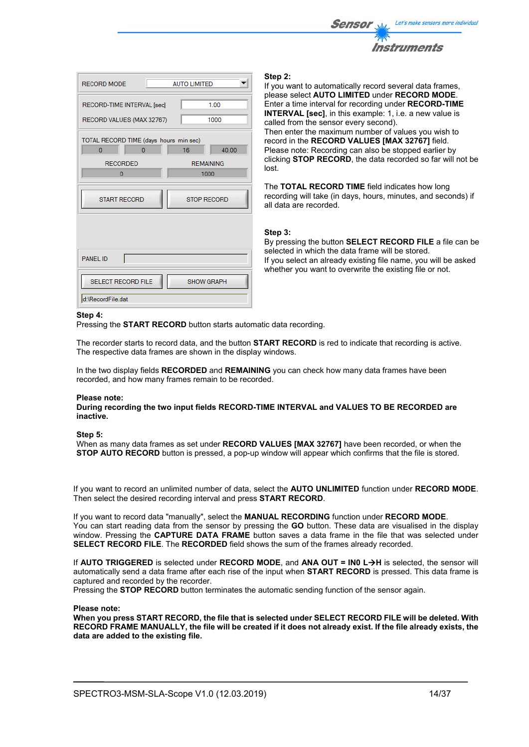

| <b>RECORD MODE</b>                                                                    | <b>AUTO LIMITED</b>                     |
|---------------------------------------------------------------------------------------|-----------------------------------------|
| RECORD-TIME INTERVAL [sec]<br>RECORD VALUES (MAX 32767)                               | 1.00<br>1000                            |
| TOTAL RECORD TIME (days hours min sec)<br>$\overline{0}$<br>0<br><b>RECORDED</b><br>0 | 16<br>40.00<br><b>REMAINING</b><br>1000 |
| <b>START RECORD</b>                                                                   | <b>STOP RECORD</b>                      |
| <b>PANEL ID</b><br><b>SELECT RECORD FILE</b>                                          | <b>SHOW GRAPH</b>                       |
| d:\RecordFile.dat                                                                     |                                         |

#### **Step 2:**

If you want to automatically record several data frames, please select **AUTO LIMITED** under **RECORD MODE**. Enter a time interval for recording under **RECORD-TIME INTERVAL [sec]**, in this example: 1, i.e. a new value is called from the sensor every second). Then enter the maximum number of values you wish to record in the **RECORD VALUES [MAX 32767]** field. Please note: Recording can also be stopped earlier by clicking **STOP RECORD**, the data recorded so far will not be lost.

The **TOTAL RECORD TIME** field indicates how long recording will take (in days, hours, minutes, and seconds) if all data are recorded.

#### **Step 3:**

By pressing the button **SELECT RECORD FILE** a file can be selected in which the data frame will be stored. If you select an already existing file name, you will be asked whether you want to overwrite the existing file or not.

#### **Step 4:**

Pressing the **START RECORD** button starts automatic data recording.

The recorder starts to record data, and the button **START RECORD** is red to indicate that recording is active. The respective data frames are shown in the display windows.

In the two display fields **RECORDED** and **REMAINING** you can check how many data frames have been recorded, and how many frames remain to be recorded.

#### **Please note:**

**During recording the two input fields RECORD-TIME INTERVAL and VALUES TO BE RECORDED are inactive.**

#### **Step 5:**

When as many data frames as set under **RECORD VALUES [MAX 32767]** have been recorded, or when the **STOP AUTO RECORD** button is pressed, a pop-up window will appear which confirms that the file is stored.

If you want to record an unlimited number of data, select the **AUTO UNLIMITED** function under **RECORD MODE**. Then select the desired recording interval and press **START RECORD**.

If you want to record data "manually", select the **MANUAL RECORDING** function under **RECORD MODE**. You can start reading data from the sensor by pressing the **GO** button. These data are visualised in the display window. Pressing the **CAPTURE DATA FRAME** button saves a data frame in the file that was selected under **SELECT RECORD FILE**. The **RECORDED** field shows the sum of the frames already recorded.

If **AUTO TRIGGERED** is selected under **RECORD MODE**, and **ANA OUT = IN0 LH** is selected, the sensor will automatically send a data frame after each rise of the input when **START RECORD** is pressed. This data frame is captured and recorded by the recorder.

Pressing the **STOP RECORD** button terminates the automatic sending function of the sensor again.

#### **Please note:**

**When you press START RECORD, the file that is selected under SELECT RECORD FILE will be deleted. With RECORD FRAME MANUALLY, the file will be created if it does not already exist. If the file already exists, the data are added to the existing file.**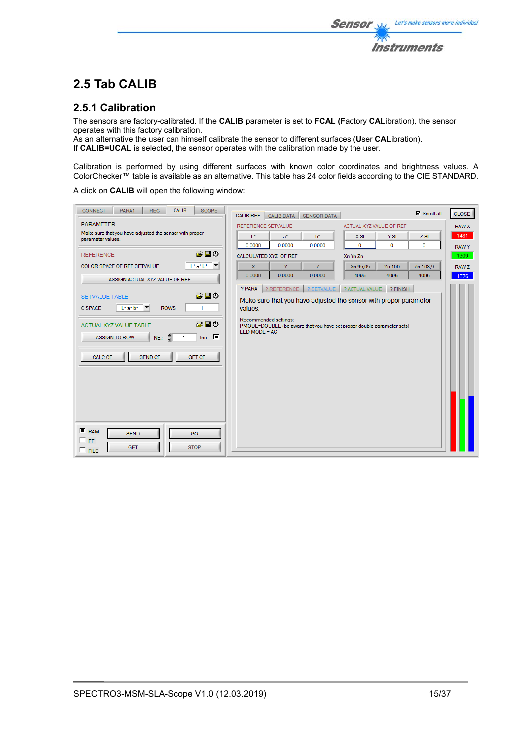## **2.5 Tab CALIB**

## **2.5.1 Calibration**

The sensors are factory-calibrated. If the **CALIB** parameter is set to **FCAL (F**actory **CAL**ibration), the sensor operates with this factory calibration.

As an alternative the user can himself calibrate the sensor to different surfaces (**U**ser **CAL**ibration). If **CALIB=UCAL** is selected, the sensor operates with the calibration made by the user.

Calibration is performed by using different surfaces with known color coordinates and brightness values. A ColorChecker™ table is available as an alternative. This table has 24 color fields according to the CIE STANDARD.

**Sensor** 

Let's make sensors more individual

**Instruments** 

A click on **CALIB** will open the following window:

| <b>CONNECT</b><br>PARA1                                                      | <b>CALIB</b><br><b>REC</b>     | <b>SCOPE</b>                                                   | <b>CALIB REF</b> | CALIB DATA            | <b>SENSOR DATA</b>      |                                                                        |            | $\nabla$ Scroll all | <b>CLOSE</b> |
|------------------------------------------------------------------------------|--------------------------------|----------------------------------------------------------------|------------------|-----------------------|-------------------------|------------------------------------------------------------------------|------------|---------------------|--------------|
| <b>PARAMETER</b>                                                             |                                | <b>REFERENCE SETVALUE</b>                                      |                  |                       | ACTUAL XYZ VALUE OF REF |                                                                        |            | <b>RAW X</b>        |              |
| Make sure that you have adjusted the sensor with proper<br>parameter values. |                                |                                                                | $L^*$            | $a^*$                 | $b^*$                   | $X$ SI                                                                 | <b>YSI</b> | $Z$ SI              | 1481         |
|                                                                              |                                |                                                                | 0.0000           | 0.0000                | 0.0000                  | $\mathbf 0$                                                            | 0          | $\mathbf 0$         | <b>RAWY</b>  |
| <b>REFERENCE</b>                                                             |                                | 合日の                                                            |                  | CALCULATED XYZ OF REF |                         | Xn Yn Zn                                                               |            |                     | 1309         |
| COLOR SPACE OF REF SETVALUE                                                  |                                | $L^*a^*b^*$ $\blacktriangledown$                               | X                | Y                     | Z                       | Xn 95.05                                                               | Yn 100     | Zn 108.9            | RAW Z        |
|                                                                              | ASSIGN ACTUAL XYZ VALUE OF REF |                                                                | 0.0000           | 0.0000                | 0.0000                  | 4096                                                                   | 4096       | 4096                | 1376         |
|                                                                              |                                |                                                                | ? PARA           | ? REFERENCE           | ? SETVALUE              | ? ACTUAL VALUE ? FINISH                                                |            |                     |              |
| <b>SETVALUE TABLE</b>                                                        |                                | 富田の                                                            |                  |                       |                         | Make sure that you have adjusted the sensor with proper parameter      |            |                     |              |
| $L^*$ a* $b^*$<br>C SPACE<br>$\overline{\phantom{a}}$                        | <b>ROWS</b>                    | 1                                                              | values.          |                       |                         |                                                                        |            |                     |              |
|                                                                              |                                |                                                                |                  | Recommended settings: |                         |                                                                        |            |                     |              |
| ACTUAL XYZ VALUE TABLE                                                       |                                | 合日の                                                            | LED MODE = $AC$  |                       |                         | PMODE=DOUBLE (be aware that you have set proper double parameter sets) |            |                     |              |
| <b>ASSIGN TO ROW</b>                                                         | No.: $\frac{2}{3}$             | $\overline{\mathsf{Inc}}$ $\overline{\mathsf{I}^{\mathsf{m}}}$ |                  |                       |                         |                                                                        |            |                     |              |
|                                                                              |                                |                                                                |                  |                       |                         |                                                                        |            |                     |              |
| <b>CALC CF</b>                                                               | <b>SEND CF</b>                 | <b>GET CF</b>                                                  |                  |                       |                         |                                                                        |            |                     |              |
|                                                                              |                                |                                                                |                  |                       |                         |                                                                        |            |                     |              |
|                                                                              |                                |                                                                |                  |                       |                         |                                                                        |            |                     |              |
|                                                                              |                                |                                                                |                  |                       |                         |                                                                        |            |                     |              |
|                                                                              |                                |                                                                |                  |                       |                         |                                                                        |            |                     |              |
|                                                                              |                                |                                                                |                  |                       |                         |                                                                        |            |                     |              |
|                                                                              |                                |                                                                |                  |                       |                         |                                                                        |            |                     |              |
| $F$ RAM<br><b>SEND</b>                                                       |                                | GO                                                             |                  |                       |                         |                                                                        |            |                     |              |
| $\Box$ EE                                                                    |                                |                                                                |                  |                       |                         |                                                                        |            |                     |              |
| <b>GET</b><br>$\Box$ FILE                                                    |                                | <b>STOP</b>                                                    |                  |                       |                         |                                                                        |            |                     |              |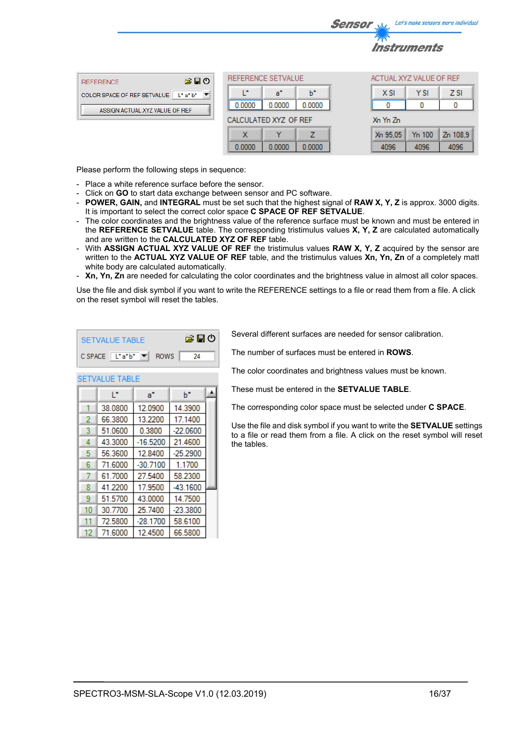|                                        |                       |        |        |        | <b>Sensor</b>           | <b>Salaz</b>              |      | Let's make sensors more individua |
|----------------------------------------|-----------------------|--------|--------|--------|-------------------------|---------------------------|------|-----------------------------------|
|                                        |                       |        |        |        |                         | <i><b>Instruments</b></i> |      |                                   |
| 第日の<br><b>REFERENCE</b>                | REFERENCE SETVALUE    |        |        |        | ACTUAL XYZ VALUE OF REF |                           |      |                                   |
| COLOR SPACE OF REF SETVALUE   L* a* b* |                       |        | a"     | b*     |                         | <b>XSI</b>                | Y SI | <b>ZSI</b>                        |
| ASSIGN ACTUAL XYZ VALUE OF REF         |                       | 0.0000 | 0.0000 | 0.0000 |                         |                           |      |                                   |
|                                        | CALCULATED XYZ OF REF |        |        |        | Xn Yn Zn                |                           |      |                                   |

7

0.0000

 $\mathbf x$ 

0.0000

Please perform the following steps in sequence:

- Place a white reference surface before the sensor.
- Click on **GO** to start data exchange between sensor and PC software.
- **POWER, GAIN,** and **INTEGRAL** must be set such that the highest signal of **RAW X, Y, Z** is approx. 3000 digits. It is important to select the correct color space **C SPACE OF REF SETVALUE**.

0.0000

- The color coordinates and the brightness value of the reference surface must be known and must be entered in the **REFERENCE SETVALUE** table. The corresponding tristimulus values **X, Y, Z** are calculated automatically and are written to the **CALCULATED XYZ OF REF** table.
- With **ASSIGN ACTUAL XYZ VALUE OF REF** the tristimulus values **RAW X, Y, Z** acquired by the sensor are written to the **ACTUAL XYZ VALUE OF REF** table, and the tristimulus values **Xn, Yn, Zn** of a completely matt white body are calculated automatically.
- **Xn, Yn, Zn** are needed for calculating the color coordinates and the brightness value in almost all color spaces.

Use the file and disk symbol if you want to write the REFERENCE settings to a file or read them from a file. A click on the reset symbol will reset the tables.

| ఆ⊟ం<br><b>SETVALUE TABLE</b> |                       |            |            |  |  |  |  |  |  |  |
|------------------------------|-----------------------|------------|------------|--|--|--|--|--|--|--|
| CSPACE L*a*b* ▼ ROWS<br>24   |                       |            |            |  |  |  |  |  |  |  |
|                              | <b>SETVALUE TABLE</b> |            |            |  |  |  |  |  |  |  |
|                              | Ľ                     | a*         | ь          |  |  |  |  |  |  |  |
| 1                            | 38.0800               | 12.0900    | 14.3900    |  |  |  |  |  |  |  |
| 2                            | 66.3800               | 13.2200    | 17.1400    |  |  |  |  |  |  |  |
| 3                            | 51.0600               | 0.3800     | $-22.0600$ |  |  |  |  |  |  |  |
| 4                            | 43.3000               | $-16.5200$ | 21.4600    |  |  |  |  |  |  |  |
| 5                            | 56.3600               | 12.8400    | $-25.2900$ |  |  |  |  |  |  |  |
| 6                            | 71.6000               | $-30.7100$ | 1.1700     |  |  |  |  |  |  |  |
| 7                            | 61.7000               | 27.5400    | 58.2300    |  |  |  |  |  |  |  |
| 8                            | 41.2200               | 17.9500    | -43.1600   |  |  |  |  |  |  |  |
| 9                            | 51.5700               | 43.0000    | 14.7500    |  |  |  |  |  |  |  |
| 10                           | 30.7700               | 25.7400    | $-23.3800$ |  |  |  |  |  |  |  |
| 11                           | 72.5800               | $-28.1700$ | 58.6100    |  |  |  |  |  |  |  |
| 12                           | 71.6000               | 12.4500    | 66.5800    |  |  |  |  |  |  |  |

Several different surfaces are needed for sensor calibration.

The number of surfaces must be entered in **ROWS**.

The color coordinates and brightness values must be known.

These must be entered in the **SETVALUE TABLE**.

The corresponding color space must be selected under **C SPACE**.

Use the file and disk symbol if you want to write the **SETVALUE** settings to a file or read them from a file. A click on the reset symbol will reset the tables.

Xn 95.05

4096

Yn 100

4096

Zn 108.9

4096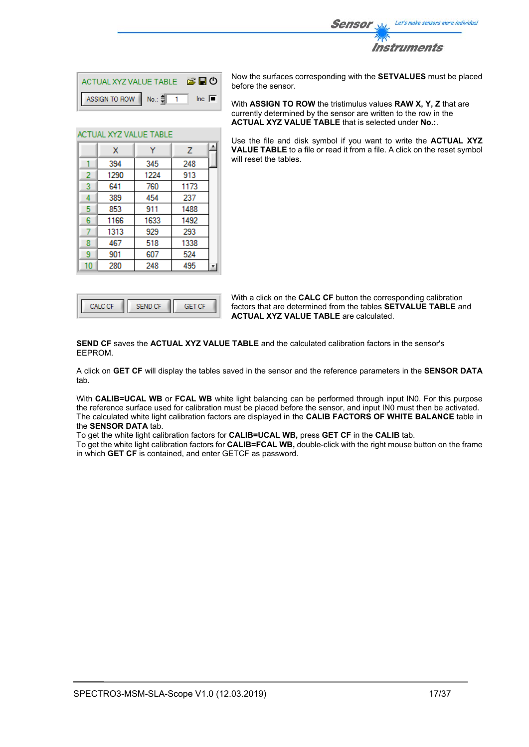

| ACTUAL XYZ VALUE TABLE <b>B D</b>  |  |                |
|------------------------------------|--|----------------|
| ASSIGN TO ROW No.: $\frac{4}{3}$ 1 |  | $\ln c$ $\Box$ |

Ÿ

345

1224

760

454

911

1633

929

518

607

248

A

 $\overline{z}$ 

248

913

1173

237

1488

1492

293

1338

524

495

ACTUAL XYZ VALUE TABLE

 $\mathbf{x}$ 

394

1290

641

389

853

1166

1313

467

901

280

 $\mathbf{1}$  $\overline{2}$ 

3  $\overline{4}$ 

5

 $\overline{6}$ 

 $\overline{7}$ 

8

 $\overline{9}$ 

 $10$ 

Now the surfaces corresponding with the **SETVALUES** must be placed before the sensor.

With **ASSIGN TO ROW** the tristimulus values **RAW X, Y, Z** that are currently determined by the sensor are written to the row in the **ACTUAL XYZ VALUE TABLE** that is selected under **No.:**.

Use the file and disk symbol if you want to write the **ACTUAL XYZ VALUE TABLE** to a file or read it from a file. A click on the reset symbol will reset the tables.

|  | cЕ |
|--|----|
|  |    |

With a click on the **CALC CF** button the corresponding calibration factors that are determined from the tables **SETVALUE TABLE** and **ACTUAL XYZ VALUE TABLE** are calculated.

**SEND CF** saves the **ACTUAL XYZ VALUE TABLE** and the calculated calibration factors in the sensor's EEPROM.

A click on **GET CF** will display the tables saved in the sensor and the reference parameters in the **SENSOR DATA** tab.

With **CALIB=UCAL WB** or **FCAL WB** white light balancing can be performed through input IN0. For this purpose the reference surface used for calibration must be placed before the sensor, and input IN0 must then be activated. The calculated white light calibration factors are displayed in the **CALIB FACTORS OF WHITE BALANCE** table in the **SENSOR DATA** tab.

To get the white light calibration factors for **CALIB=UCAL WB,** press **GET CF** in the **CALIB** tab.

To get the white light calibration factors for **CALIB=FCAL WB,** double-click with the right mouse button on the frame in which **GET CF** is contained, and enter GETCF as password.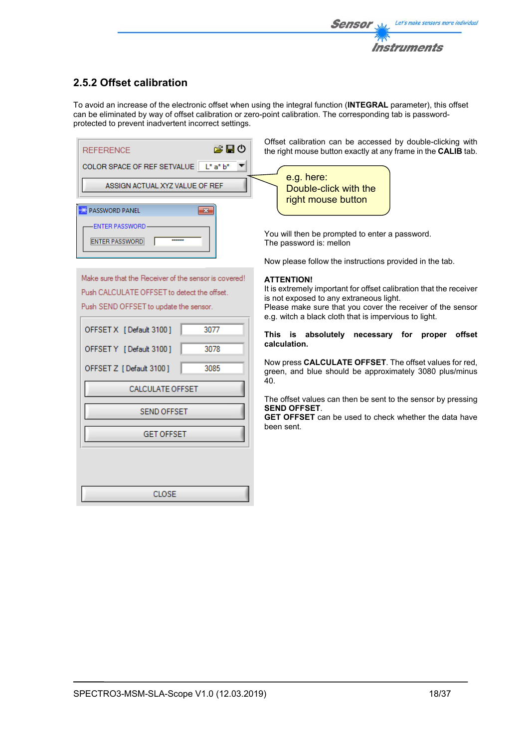

## **2.5.2 Offset calibration**

To avoid an increase of the electronic offset when using the integral function (**INTEGRAL** parameter), this offset can be eliminated by way of offset calibration or zero-point calibration. The corresponding tab is passwordprotected to prevent inadvertent incorrect settings.

| 合日の<br><b>REFERENCE</b>                | Offset calibration can be accessed by doub<br>the right mouse button exactly at any frame in |
|----------------------------------------|----------------------------------------------------------------------------------------------|
| COLOR SPACE OF REF SETVALUE   L* a* b* |                                                                                              |
|                                        | e.g. here:                                                                                   |
| ASSIGN ACTUAL XYZ VALUE OF REF         | Double-click with the<br>right mouse button                                                  |
| <b>PASSWORD PANEL</b>                  |                                                                                              |
| <b>ENTER PASSWORD</b>                  | You will then be prompted to enter a passwor                                                 |
|                                        | The password is: mellon                                                                      |

Make sure that the Receiver of the sensor is covered! Push CALCULATE OFFSET to detect the offset. Push SEND OFFSET to update the sensor.

| OFFSET X [Default 3100] | 3077 |  |  |  |  |  |  |  |
|-------------------------|------|--|--|--|--|--|--|--|
| OFFSET Y [Default 3100] | 3078 |  |  |  |  |  |  |  |
| OFFSET Z [Default 3100] | 3085 |  |  |  |  |  |  |  |
| <b>CALCULATE OFFSET</b> |      |  |  |  |  |  |  |  |
| <b>SEND OFFSET</b>      |      |  |  |  |  |  |  |  |
| <b>GET OFFSET</b>       |      |  |  |  |  |  |  |  |
|                         |      |  |  |  |  |  |  |  |
|                         |      |  |  |  |  |  |  |  |
| CLOSE                   |      |  |  |  |  |  |  |  |

ole-clicking with the **CALIB** tab.

You will then be prompted to enter a password. The password is: mellon

Now please follow the instructions provided in the tab.

### **ATTENTION!**

It is extremely important for offset calibration that the receiver is not exposed to any extraneous light.

Please make sure that you cover the receiver of the sensor e.g. witch a black cloth that is impervious to light.

**This is absolutely necessary for proper offset calculation.** 

Now press **CALCULATE OFFSET**. The offset values for red, green, and blue should be approximately 3080 plus/minus 40.

The offset values can then be sent to the sensor by pressing **SEND OFFSET**.

**GET OFFSET** can be used to check whether the data have been sent.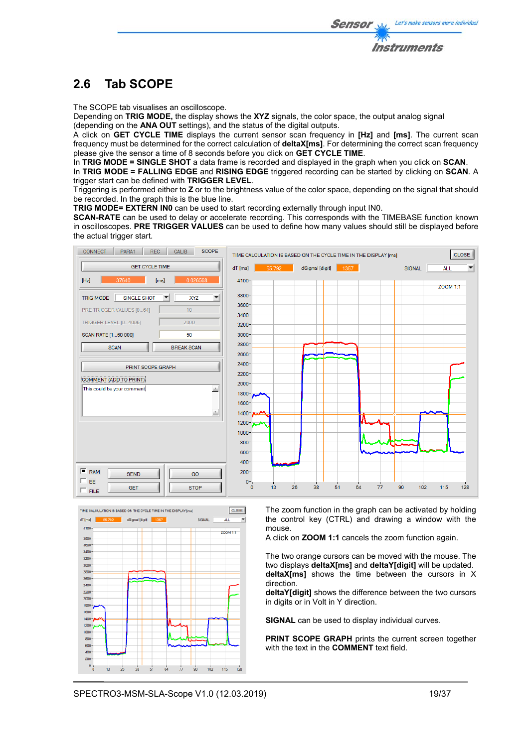# **2.6 Tab SCOPE**

The SCOPE tab visualises an oscilloscope.

Depending on **TRIG MODE,** the display shows the **XYZ** signals, the color space, the output analog signal (depending on the **ANA OUT** settings), and the status of the digital outputs.

A click on **GET CYCLE TIME** displays the current sensor scan frequency in **[Hz]** and **[ms]**. The current scan frequency must be determined for the correct calculation of **deltaX[ms]**. For determining the correct scan frequency please give the sensor a time of 8 seconds before you click on **GET CYCLE TIME**.

In **TRIG MODE = SINGLE SHOT** a data frame is recorded and displayed in the graph when you click on **SCAN**.

In **TRIG MODE = FALLING EDGE** and **RISING EDGE** triggered recording can be started by clicking on **SCAN**. A trigger start can be defined with **TRIGGER LEVEL**.

Triggering is performed either to **Z** or to the brightness value of the color space, depending on the signal that should be recorded. In the graph this is the blue line.

**TRIG MODE= EXTERN IN0** can be used to start recording externally through input IN0.

**SCAN-RATE** can be used to delay or accelerate recording. This corresponds with the TIMEBASE function known in oscilloscopes. **PRE TRIGGER VALUES** can be used to define how many values should still be displayed before the actual trigger start.





The zoom function in the graph can be activated by holding the control key (CTRL) and drawing a window with the mouse.

A click on **ZOOM 1:1** cancels the zoom function again.

The two orange cursors can be moved with the mouse. The two displays **deltaX[ms]** and **deltaY[digit]** will be updated. **deltaX[ms]** shows the time between the cursors in X direction.

**deltaY[digit]** shows the difference between the two cursors in digits or in Volt in Y direction.

**SIGNAL** can be used to display individual curves.

**PRINT SCOPE GRAPH** prints the current screen together with the text in the **COMMENT** text field.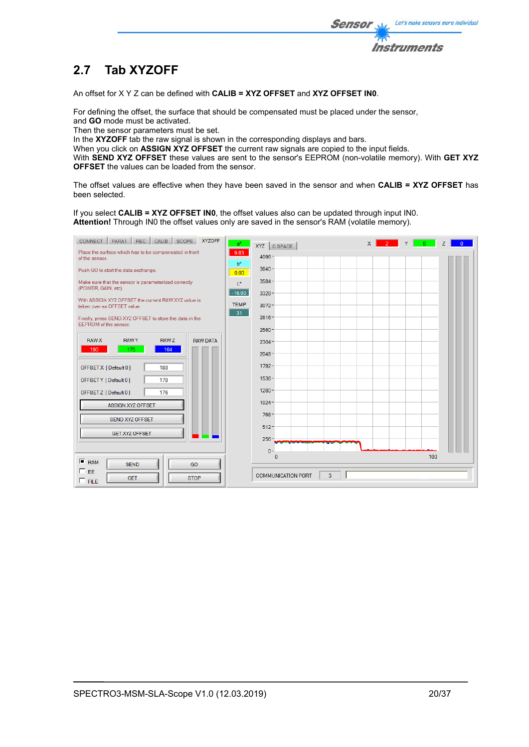

# **2.7 Tab XYZOFF**

An offset for X Y Z can be defined with **CALIB = XYZ OFFSET** and **XYZ OFFSET IN0**.

For defining the offset, the surface that should be compensated must be placed under the sensor, and **GO** mode must be activated.

Then the sensor parameters must be set.

In the XYZOFF tab the raw signal is shown in the corresponding displays and bars.

When you click on **ASSIGN XYZ OFFSET** the current raw signals are copied to the input fields.

With **SEND XYZ OFFSET** these values are sent to the sensor's EEPROM (non-volatile memory). With **GET XYZ OFFSET** the values can be loaded from the sensor.

The offset values are effective when they have been saved in the sensor and when **CALIB = XYZ OFFSET** has been selected.

If you select **CALIB = XYZ OFFSET IN0**, the offset values also can be updated through input IN0. **Attention!** Through IN0 the offset values only are saved in the sensor's RAM (volatile memory).

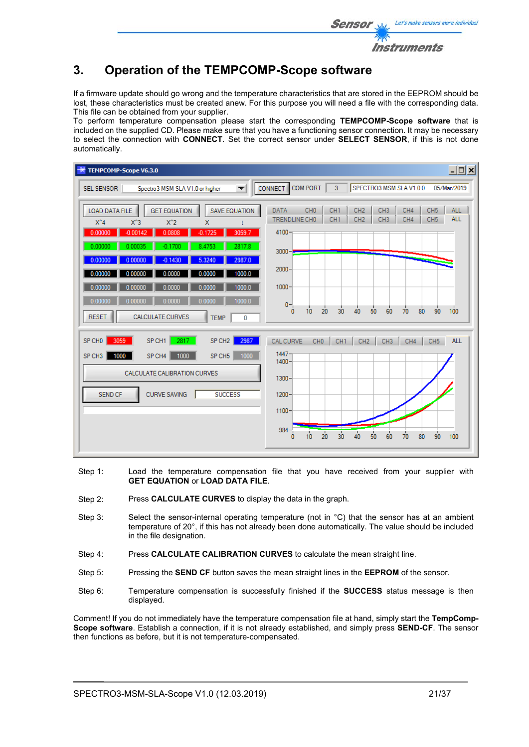

## **3. Operation of the TEMPCOMP-Scope software**

If a firmware update should go wrong and the temperature characteristics that are stored in the EEPROM should be lost, these characteristics must be created anew. For this purpose you will need a file with the corresponding data. This file can be obtained from your supplier.

To perform temperature compensation please start the corresponding **TEMPCOMP-Scope software** that is included on the supplied CD. Please make sure that you have a functioning sensor connection. It may be necessary to select the connection with **CONNECT**. Set the correct sensor under **SELECT SENSOR**, if this is not done automatically.

| TEMPCOMP-Scope V6.3.0                                                                                                                                                                                                                                                                                                                                                                                                                                                                                              | $\Box$ o $\Box$                                                                                                                                                                                                                                                                                                                                                                                      |
|--------------------------------------------------------------------------------------------------------------------------------------------------------------------------------------------------------------------------------------------------------------------------------------------------------------------------------------------------------------------------------------------------------------------------------------------------------------------------------------------------------------------|------------------------------------------------------------------------------------------------------------------------------------------------------------------------------------------------------------------------------------------------------------------------------------------------------------------------------------------------------------------------------------------------------|
| Spectro3 MSM SLA V1.0 or higher<br><b>SEL SENSOR</b><br>$\overline{\phantom{a}}$                                                                                                                                                                                                                                                                                                                                                                                                                                   | COM PORT<br>3<br>SPECTRO3 MSM SLAV1.0.0<br>05/Mar/2019<br><b>CONNECT</b>                                                                                                                                                                                                                                                                                                                             |
| <b>LOAD DATA FILE</b><br><b>GET EQUATION</b><br><b>SAVE EQUATION</b><br>$X^4$<br>$X^3$<br>$X^2$<br>$\mathsf{x}$<br>$-0.00142$<br>3059.7<br>0.00000<br>0.0808<br>$-0.1725$<br>0.00000<br>0.00035<br>$-0.1700$<br>2817.8<br>8.4753<br>2987.0<br>0.00000<br>5.3240<br>0.00000<br>$-0.1430$<br>1000.0<br>0.00000<br>0.00000<br>0.0000<br>0.0000<br>0.00000<br>1000.0<br>0.00000<br>0.0000<br>0.0000<br>1000.0<br>0.00000<br>0.00000<br>0.0000<br>0.0000<br><b>CALCULATE CURVES</b><br><b>RESET</b><br><b>TEMP</b><br>0 | CH <sub>0</sub><br>CH <sub>1</sub><br>CH <sub>2</sub><br>CH <sub>3</sub><br>CH4<br>CH <sub>5</sub><br><b>ALL</b><br><b>DATA</b><br><b>ALL</b><br>TRENDLINE CHO<br>CH <sub>1</sub><br>CH <sub>2</sub><br>CH <sub>3</sub><br>CH4<br>CH <sub>5</sub><br>$4100 -$<br>$3000 - $<br>$2000 -$<br>$1000 -$<br>$0 -$<br>$\frac{1}{80}$<br>90<br>100<br>30<br>20<br>50<br>60<br>70<br>10<br>40<br>$\mathbf{0}$ |
| 2817<br>SP CH1<br>3059<br>SP CH <sub>2</sub><br>SP CHO<br>2987<br>1000<br>1000<br>SP CH <sub>5</sub><br>SP CH <sub>3</sub><br>SP CH4<br>1000<br>CALCULATE CALIBRATION CURVES<br><b>CURVE SAVING</b><br><b>SUCCESS</b><br><b>SEND CF</b>                                                                                                                                                                                                                                                                            | <b>CAL CURVE</b><br>CH <sub>0</sub><br>CH <sub>1</sub><br>CH <sub>2</sub><br><b>ALL</b><br>CH <sub>3</sub><br>CH4<br>CH <sub>5</sub><br>$1447 -$<br>$1400 -$<br>$1300 -$<br>$1200 -$<br>$1100 -$<br>$984 -$<br>$\overline{20}$<br>30<br>40<br>80<br>100<br>50<br>90<br>70<br>60<br>10 <sub>10</sub><br>n                                                                                             |

- Step 1: Load the temperature compensation file that you have received from your supplier with **GET EQUATION** or **LOAD DATA FILE**.
- Step 2: Press **CALCULATE CURVES** to display the data in the graph.
- Step 3: Select the sensor-internal operating temperature (not in °C) that the sensor has at an ambient temperature of 20°, if this has not already been done automatically. The value should be included in the file designation.
- Step 4: Press **CALCULATE CALIBRATION CURVES** to calculate the mean straight line.
- Step 5: Pressing the **SEND CF** button saves the mean straight lines in the **EEPROM** of the sensor.
- Step 6: Temperature compensation is successfully finished if the **SUCCESS** status message is then displayed.

Comment! If you do not immediately have the temperature compensation file at hand, simply start the **TempComp-Scope software**. Establish a connection, if it is not already established, and simply press **SEND-CF**. The sensor then functions as before, but it is not temperature-compensated.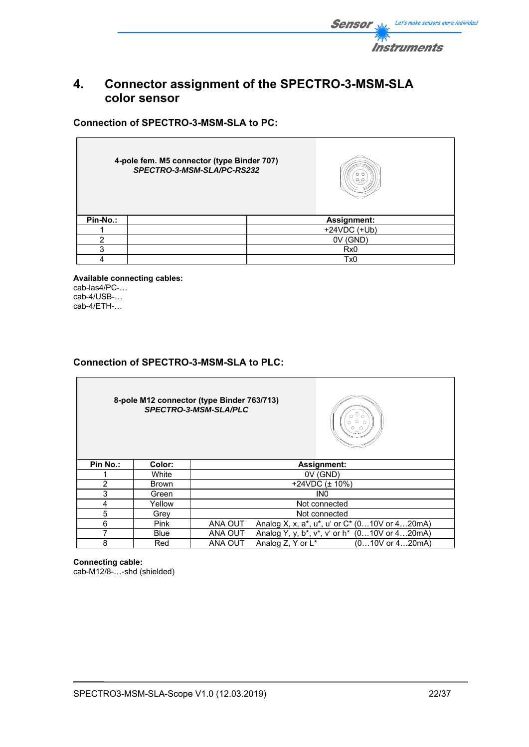

## **4. Connector assignment of the SPECTRO-3-MSM-SLA color sensor**

**Connection of SPECTRO-3-MSM-SLA to PC:** 

|          | 4-pole fem. M5 connector (type Binder 707)<br>SPECTRO-3-MSM-SLA/PC-RS232 | o a             |
|----------|--------------------------------------------------------------------------|-----------------|
| Pin-No.: |                                                                          | Assignment:     |
|          |                                                                          | $+24VDC (+Ub)$  |
| າ        |                                                                          | (gnd)<br>0V     |
| າ        |                                                                          | R <sub>x0</sub> |
|          |                                                                          | Tx <sub>0</sub> |

**Available connecting cables:**  cab-las4/PC-… cab-4/USB-… cab-4/ETH-…

## **Connection of SPECTRO-3-MSM-SLA to PLC:**

**8-pole M12 connector (type Binder 763/713)**  *SPECTRO-3-MSM-SLA/PLC* 



| Pin No.: | Color:       | <b>Assignment:</b>                                         |  |  |  |  |  |
|----------|--------------|------------------------------------------------------------|--|--|--|--|--|
|          | White        | 0V (GND)                                                   |  |  |  |  |  |
|          | <b>Brown</b> | +24VDC $(\pm 10\%)$                                        |  |  |  |  |  |
|          | Green        | IN <sub>0</sub>                                            |  |  |  |  |  |
|          | Yellow       | Not connected                                              |  |  |  |  |  |
|          | Grey         | Not connected                                              |  |  |  |  |  |
| 6        | <b>Pink</b>  | ANA OUT<br>Analog X, x, a*, u*, u' or C* (010V or 420mA)   |  |  |  |  |  |
|          | <b>Blue</b>  | ANA OUT<br>Analog Y, y, b*, v*, v' or h* $(010V$ or 420mA) |  |  |  |  |  |
|          | Red          | ANA OUT<br>Analog Z, Y or L*<br>$(010V$ or $420mA)$        |  |  |  |  |  |

**Connecting cable:**  cab-M12/8-…-shd (shielded)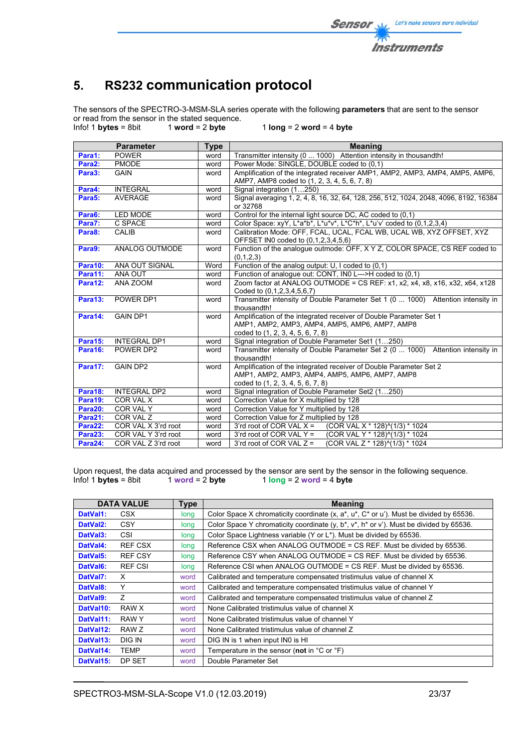

# **5. RS232 communication protocol**

The sensors of the SPECTRO-3-MSM-SLA series operate with the following **parameters** that are sent to the sensor or read from the sensor in the stated sequence.<br> $lnfo! 1 bytes = 8bit 1 word = 2 byte$ 

Info! 1 **bytes** = 8bit 1 **word** = 2 **byte** 1 **long** = 2 **word** = 4 **byte**

|                     | <b>Parameter</b>    | <b>Type</b> | <b>Meaning</b>                                                                                     |
|---------------------|---------------------|-------------|----------------------------------------------------------------------------------------------------|
| Para1:              | <b>POWER</b>        | word        | Transmitter intensity (0  1000) Attention intensity in thousandth!                                 |
| Para2:              | <b>PMODE</b>        | word        | Power Mode: SINGLE, DOUBLE coded to (0,1)                                                          |
| Para3:              | <b>GAIN</b>         | word        | Amplification of the integrated receiver AMP1, AMP2, AMP3, AMP4, AMP5, AMP6,                       |
|                     |                     |             | AMP7, AMP8 coded to (1, 2, 3, 4, 5, 6, 7, 8)                                                       |
| Para4:              | <b>INTEGRAL</b>     | word        | Signal integration (1250)                                                                          |
| Para <sub>5</sub> : | <b>AVERAGE</b>      | word        | Signal averaging 1, 2, 4, 8, 16, 32, 64, 128, 256, 512, 1024, 2048, 4096, 8192, 16384              |
|                     |                     |             | or 32768                                                                                           |
| Para6:              | LED MODE            | word        | Control for the internal light source DC, AC coded to (0,1)                                        |
| Para7:              | C SPACE             | word        | Color Space: xyY, L*a*b*, L*u*v*, L*C*h*, L*u'v' coded to (0,1,2,3,4)                              |
| Para8:              | <b>CALIB</b>        | word        | Calibration Mode: OFF, FCAL, UCAL, FCAL WB, UCAL WB, XYZ OFFSET, XYZ                               |
|                     |                     |             | OFFSET IN0 coded to (0,1,2,3,4,5,6)                                                                |
| Para9:              | ANALOG OUTMODE      | word        | Function of the analogue outmode: OFF, X Y Z, COLOR SPACE, CS REF coded to                         |
|                     |                     |             | (0,1,2,3)                                                                                          |
| <b>Para10:</b>      | ANA OUT SIGNAL      | Word        | Function of the analog output: U, I coded to (0,1)                                                 |
| Para11:             | ANA OUT             | word        | Function of analogue out: CONT, IN0 L--->H coded to (0,1)                                          |
| Para12:             | ANA ZOOM            | word        | Zoom factor at ANALOG OUTMODE = CS REF: $x1$ , $x2$ , $x4$ , $x8$ , $x16$ , $x32$ , $x64$ , $x128$ |
|                     |                     |             | Coded to (0.1.2.3.4.5.6.7)                                                                         |
| Para13:             | POWER DP1           | word        | Transmitter intensity of Double Parameter Set 1 (0  1000) Attention intensity in                   |
|                     |                     |             | thousandth!                                                                                        |
| Para14:             | <b>GAIN DP1</b>     | word        | Amplification of the integrated receiver of Double Parameter Set 1                                 |
|                     |                     |             | AMP1, AMP2, AMP3, AMP4, AMP5, AMP6, AMP7, AMP8                                                     |
|                     |                     |             | coded to (1, 2, 3, 4, 5, 6, 7, 8)                                                                  |
| Para15:             | <b>INTEGRAL DP1</b> | word        | Signal integration of Double Parameter Set1 (1250)                                                 |
| Para16:             | POWER DP2           | word        | Transmitter intensity of Double Parameter Set 2 (0  1000)<br>Attention intensity in                |
|                     |                     |             | thousandth!                                                                                        |
| Para17:             | <b>GAIN DP2</b>     | word        | Amplification of the integrated receiver of Double Parameter Set 2                                 |
|                     |                     |             | AMP1, AMP2, AMP3, AMP4, AMP5, AMP6, AMP7, AMP8                                                     |
|                     |                     |             | coded to (1, 2, 3, 4, 5, 6, 7, 8)                                                                  |
| Para18:             | INTEGRAL DP2        | word        | Signal integration of Double Parameter Set2 (1250)                                                 |
| Para19:             | COR VAL X           | word        | Correction Value for X multiplied by 128                                                           |
| Para20:             | COR VAL Y           | word        | Correction Value for Y multiplied by 128                                                           |
| Para21:             | COR VAL Z           | word        | Correction Value for Z multiplied by 128                                                           |
| Para22:             | COR VAL X 3'rd root | word        | 3'rd root of COR VAL $X =$<br>(COR VAL X * 128)^(1/3) * 1024                                       |
| Para23:             | COR VAL Y 3'rd root | word        | (COR VAL Y * 128)^(1/3) * 1024<br>3'rd root of COR VAL $Y =$                                       |
| Para24:             | COR VAL Z 3'rd root | word        | (COR VAL Z * 128) $(1/3)$ * 1024<br>3'rd root of COR VAL $Z =$                                     |

Upon request, the data acquired and processed by the sensor are sent by the sensor in the following sequence.<br>Info! 1 bytes = 8bit 1 word = 2 byte 1 long = 2 word = 4 byte  $1$   $\log = 2$  word = 4 byte

| <b>DATA VALUE</b><br><b>Type</b> |                |      | <b>Meaning</b>                                                                                         |
|----------------------------------|----------------|------|--------------------------------------------------------------------------------------------------------|
| DatVal1:                         | <b>CSX</b>     | long | Color Space X chromaticity coordinate (x, a*, u*, C* or u'). Must be divided by 65536.                 |
| DatVal <sub>2</sub> :            | <b>CSY</b>     | long | Color Space Y chromaticity coordinate $(y, b^*, v^*, h^* \text{ or } v^*)$ . Must be divided by 65536. |
| DatVal3:                         | <b>CSI</b>     | long | Color Space Lightness variable (Y or L*). Must be divided by 65536.                                    |
| DatVal4:                         | <b>REF CSX</b> | long | Reference CSX when ANALOG OUTMODE = CS REF. Must be divided by 65536.                                  |
| DatVal5:                         | <b>REF CSY</b> | long | Reference CSY when ANALOG OUTMODE = CS REF. Must be divided by 65536.                                  |
| DatVal6:                         | <b>REF CSI</b> | long | Reference CSI when ANALOG OUTMODE = CS REF. Must be divided by 65536.                                  |
| DatVal7:                         | X              | word | Calibrated and temperature compensated tristimulus value of channel X                                  |
| DatVal8:                         | Υ              | word | Calibrated and temperature compensated tristimulus value of channel Y                                  |
| DatVal9:                         | $\overline{z}$ | word | Calibrated and temperature compensated tristimulus value of channel Z                                  |
| DatVal10:                        | RAW X          | word | None Calibrated tristimulus value of channel X                                                         |
| DatVal11:                        | RAW Y          | word | None Calibrated tristimulus value of channel Y                                                         |
| DatVal12:                        | RAW Z          | word | None Calibrated tristimulus value of channel Z                                                         |
| DatVal13:                        | DIG IN         | word | DIG IN is 1 when input IN0 is HI                                                                       |
| DatVal14:                        | <b>TEMP</b>    | word | Temperature in the sensor (not in $^{\circ}$ C or $^{\circ}$ F)                                        |
| DatVal15:                        | DP SET         | word | Double Parameter Set                                                                                   |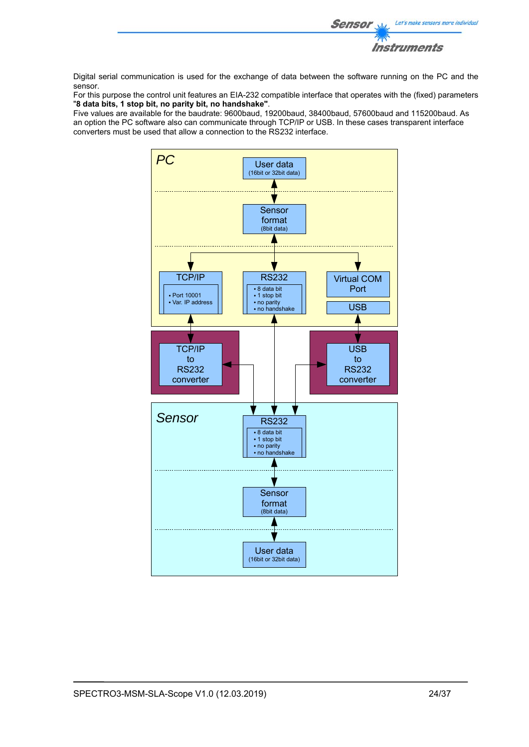

Digital serial communication is used for the exchange of data between the software running on the PC and the sensor.

For this purpose the control unit features an EIA-232 compatible interface that operates with the (fixed) parameters "**8 data bits, 1 stop bit, no parity bit, no handshake"**.

Five values are available for the baudrate: 9600baud, 19200baud, 38400baud, 57600baud and 115200baud. As an option the PC software also can communicate through TCP/IP or USB. In these cases transparent interface converters must be used that allow a connection to the RS232 interface.

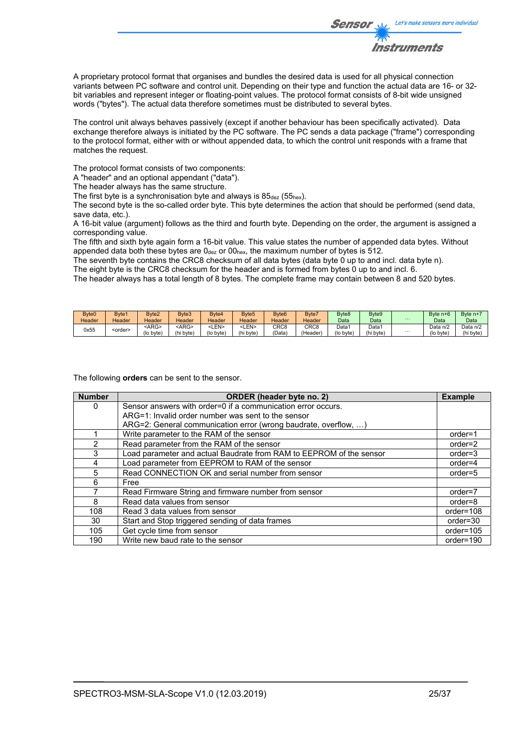

A proprietary protocol format that organises and bundles the desired data is used for all physical connection variants between PC software and control unit. Depending on their type and function the actual data are 16- or 32 bit variables and represent integer or floating-point values. The protocol format consists of 8-bit wide unsigned words ("bytes"). The actual data therefore sometimes must be distributed to several bytes.

The control unit always behaves passively (except if another behaviour has been specifically activated). Data exchange therefore always is initiated by the PC software. The PC sends a data package ("frame") corresponding to the protocol format, either with or without appended data, to which the control unit responds with a frame that matches the request.

The protocol format consists of two components:

A "header" and an optional appendant ("data").

The header always has the same structure.

The first byte is a synchronisation byte and always is  $85_{\text{dez}}$  (55<sub>hex</sub>).

The second byte is the so-called order byte. This byte determines the action that should be performed (send data, save data, etc.).

A 16-bit value (argument) follows as the third and fourth byte. Depending on the order, the argument is assigned a corresponding value.

The fifth and sixth byte again form a 16-bit value. This value states the number of appended data bytes. Without appended data both these bytes are  $0_{\text{dez}}$  or  $00_{\text{hex}}$ , the maximum number of bytes is 512.

The seventh byte contains the CRC8 checksum of all data bytes (data byte 0 up to and incl. data byte n).

The eight byte is the CRC8 checksum for the header and is formed from bytes 0 up to and incl. 6.

The header always has a total length of 8 bytes. The complete frame may contain between 8 and 520 bytes.

| Byte <sub>0</sub> | Byte <sub>1</sub> | Byte <sub>2</sub>         | Byte3                     | Byte4                         | Byte <sub>5</sub> | Byte <sub>6</sub>        | Byte7                        | Byte <sub>8</sub>  | Byte9                          | $\cdots$ | Byte n+6              | Byte n+               |
|-------------------|-------------------|---------------------------|---------------------------|-------------------------------|-------------------|--------------------------|------------------------------|--------------------|--------------------------------|----------|-----------------------|-----------------------|
| Header            | Header            | Header                    | Header                    | Header                        | Header            | Header                   | Header                       | Data               | Data                           |          | Data                  | Data                  |
| 0x55              | <order></order>   | <arg><br/>(lo byte)</arg> | <arg><br/>(hi byte)</arg> | <len><br/>bvte'<br/>(lo</len> | LEN><br>(hi byte) | CRC <sub>8</sub><br>Data | CRC8<br>'Header <sub>)</sub> | Data1<br>(lo byte) | Data <sup>.</sup><br>(hi byte) | $\cdots$ | Data n/2<br>(lo byte) | Data n/2<br>(hi byte) |

The following **orders** can be sent to the sensor.

| <b>Number</b> | <b>ORDER</b> (header byte no. 2)                                    | <b>Example</b> |
|---------------|---------------------------------------------------------------------|----------------|
| 0             | Sensor answers with order=0 if a communication error occurs.        |                |
|               | ARG=1: Invalid order number was sent to the sensor                  |                |
|               | ARG=2: General communication error (wrong baudrate, overflow, )     |                |
|               | Write parameter to the RAM of the sensor                            | order=1        |
| $\mathcal{P}$ | Read parameter from the RAM of the sensor                           | $order=2$      |
| 3             | Load parameter and actual Baudrate from RAM to EEPROM of the sensor | $order = 3$    |
| 4             | Load parameter from EEPROM to RAM of the sensor                     | $order=4$      |
| 5             | Read CONNECTION OK and serial number from sensor                    | $order=5$      |
| 6             | Free                                                                |                |
|               | Read Firmware String and firmware number from sensor                | $order=7$      |
| 8             | Read data values from sensor                                        | order=8        |
| 108           | Read 3 data values from sensor                                      | order=108      |
| 30            | Start and Stop triggered sending of data frames                     | $order = 30$   |
| 105           | Get cycle time from sensor                                          | order=105      |
| 190           | Write new baud rate to the sensor                                   | order=190      |

Let's make sensors more individual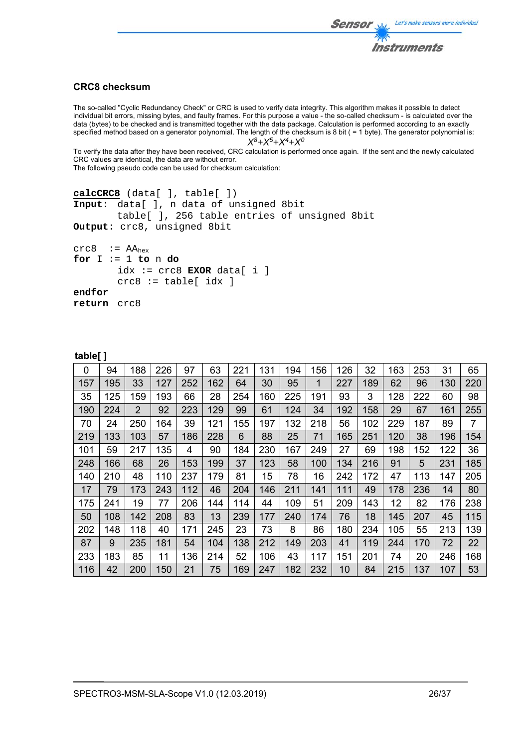

## **CRC8 checksum**

The so-called "Cyclic Redundancy Check" or CRC is used to verify data integrity. This algorithm makes it possible to detect individual bit errors, missing bytes, and faulty frames. For this purpose a value - the so-called checksum - is calculated over the data (bytes) to be checked and is transmitted together with the data package. Calculation is performed according to an exactly specified method based on a generator polynomial. The length of the checksum is 8 bit ( = 1 byte). The generator polynomial is: *X8+X5+X4+X0*

To verify the data after they have been received, CRC calculation is performed once again. If the sent and the newly calculated CRC values are identical, the data are without error.

The following pseudo code can be used for checksum calculation:

```
calcCRC8 (data[ ], table[ ]) 
Input: data[ ], n data of unsigned 8bit 
         table[ ], 256 table entries of unsigned 8bit 
Output: crc8, unsigned 8bit 
crc8 := AA<sub>hex</sub>for I := 1 to n do 
        idx := crc8 EXOR data[ i ] 
        crc8 := table[idx]endfor 
return crc8
```

| - | 1 | P<br>≏ |  |  |
|---|---|--------|--|--|
|   | ю |        |  |  |
|   |   |        |  |  |

| 0   | 94  | 188            | 226 | 97  | 63  | 221 | 131 | 194 | 156 | 126 | 32  | 163 | 253 | 31  | 65             |
|-----|-----|----------------|-----|-----|-----|-----|-----|-----|-----|-----|-----|-----|-----|-----|----------------|
| 157 | 195 | 33             | 127 | 252 | 162 | 64  | 30  | 95  | 1   | 227 | 189 | 62  | 96  | 130 | 220            |
| 35  | 125 | 159            | 193 | 66  | 28  | 254 | 160 | 225 | 191 | 93  | 3   | 128 | 222 | 60  | 98             |
| 190 | 224 | $\overline{2}$ | 92  | 223 | 129 | 99  | 61  | 124 | 34  | 192 | 158 | 29  | 67  | 161 | 255            |
| 70  | 24  | 250            | 164 | 39  | 121 | 155 | 197 | 132 | 218 | 56  | 102 | 229 | 187 | 89  | $\overline{7}$ |
| 219 | 133 | 103            | 57  | 186 | 228 | 6   | 88  | 25  | 71  | 165 | 251 | 120 | 38  | 196 | 154            |
| 101 | 59  | 217            | 135 | 4   | 90  | 184 | 230 | 167 | 249 | 27  | 69  | 198 | 152 | 122 | 36             |
| 248 | 166 | 68             | 26  | 153 | 199 | 37  | 123 | 58  | 100 | 134 | 216 | 91  | 5   | 231 | 185            |
| 140 | 210 | 48             | 110 | 237 | 179 | 81  | 15  | 78  | 16  | 242 | 172 | 47  | 113 | 147 | 205            |
| 17  | 79  | 173            | 243 | 112 | 46  | 204 | 146 | 211 | 141 | 111 | 49  | 178 | 236 | 14  | 80             |
| 175 | 241 | 19             | 77  | 206 | 144 | 114 | 44  | 109 | 51  | 209 | 143 | 12  | 82  | 176 | 238            |
| 50  | 108 | 142            | 208 | 83  | 13  | 239 | 177 | 240 | 174 | 76  | 18  | 145 | 207 | 45  | 115            |
| 202 | 148 | 118            | 40  | 171 | 245 | 23  | 73  | 8   | 86  | 180 | 234 | 105 | 55  | 213 | 139            |
| 87  | 9   | 235            | 181 | 54  | 104 | 138 | 212 | 149 | 203 | 41  | 119 | 244 | 170 | 72  | 22             |
| 233 | 183 | 85             | 11  | 136 | 214 | 52  | 106 | 43  | 117 | 151 | 201 | 74  | 20  | 246 | 168            |
| 116 | 42  | 200            | 150 | 21  | 75  | 169 | 247 | 182 | 232 | 10  | 84  | 215 | 137 | 107 | 53             |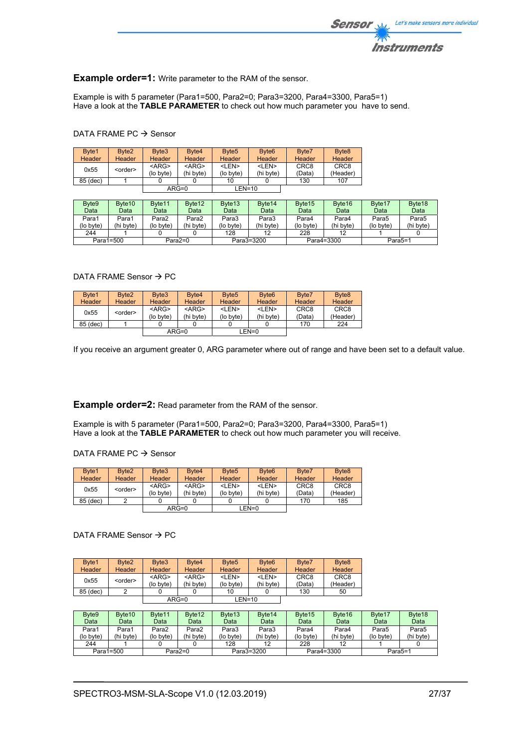

### **Example order=1:** Write parameter to the RAM of the sensor.

Example is with 5 parameter (Para1=500, Para2=0; Para3=3200, Para4=3300, Para5=1) Have a look at the **TABLE PARAMETER** to check out how much parameter you have to send.

### DATA FRAME PC  $\rightarrow$  Sensor

| Byte1    | Byte <sub>2</sub> | Byte3       | Byte4         | Byte <sub>5</sub> | Byte <sub>6</sub> | Byte7            | Byte <sub>8</sub> |
|----------|-------------------|-------------|---------------|-------------------|-------------------|------------------|-------------------|
| Header   | Header            | Header      | <b>Header</b> | Header            | <b>Header</b>     | Header           | <b>Header</b>     |
| 0x55     | <order></order>   | $<$ ARG $>$ | $<$ ARG $>$   | <len></len>       | <len></len>       | CRC <sub>8</sub> | CRC <sub>8</sub>  |
|          |                   | (lo byte)   | (hi byte)     | (lo byte)         | (hi byte)         | (Data)           | (Header)          |
| 85 (dec) |                   |             |               | 10                |                   | 130              | 107               |
|          |                   |             | $ARG=0$       | $LEN=10$          |                   |                  |                   |

| Byte9     | Byte <sub>10</sub> | Byte <sub>11</sub> | Byte <sub>12</sub> | Byte <sub>13</sub> | Byte <sub>14</sub> | Byte <sub>15</sub> | Byte <sub>16</sub> | Byte <sub>17</sub> | Byte <sub>18</sub> |
|-----------|--------------------|--------------------|--------------------|--------------------|--------------------|--------------------|--------------------|--------------------|--------------------|
| Data      | Data               | Data               | Data               | Data               | Data               | Data               | Data               | Data               | Data               |
| Para1     | Para1              | Para2              | Para2              | Para3              | Para3              | Para4              | Para4              | Para <sub>5</sub>  | Para5              |
| (lo byte) | (hi byte)          | (lo byte)          | (hi byte)          | (lo byte)          | (hi byte)          | (lo byte)          | (hi byte)          | $($ lo byte $)$    | (hi bvte)          |
| 244       |                    |                    |                    | 128                | 12                 | 228                | 12                 |                    |                    |
|           | Para1=500          |                    | Para2=0            |                    | Para3=3200         |                    | Para4=3300         | Para5=1            |                    |

### DATA FRAME Sensor  $\rightarrow$  PC

| Byte1         | Byte <sub>2</sub> | Byte3       | Byte4         | Byte <sub>5</sub> | Byte <sub>6</sub> | Byte7            | Byte <sub>8</sub> |
|---------------|-------------------|-------------|---------------|-------------------|-------------------|------------------|-------------------|
| <b>Header</b> | Header            | Header      | <b>Header</b> | Header            | <b>Header</b>     | Header           | <b>Header</b>     |
| 0x55          | <order></order>   | $<$ ARG $>$ | $<$ ARG $>$   | <len></len>       | <len></len>       | CRC <sub>8</sub> | CRC <sub>8</sub>  |
|               |                   | (lo byte)   | (hi byte)     | (lo byte)         | (hi byte)         | (Data)           | (Header)          |
| 85 (dec)      |                   |             |               |                   |                   | 170              | 224               |
|               |                   |             | $ARG=0$       |                   | LEN=0             |                  |                   |

If you receive an argument greater 0, ARG parameter where out of range and have been set to a default value.

### **Example order=2:** Read parameter from the RAM of the sensor.

Example is with 5 parameter (Para1=500, Para2=0; Para3=3200, Para4=3300, Para5=1) Have a look at the **TABLE PARAMETER** to check out how much parameter you will receive.

### DATA FRAME PC  $\rightarrow$  Sensor

| Byte1         | Byte <sub>2</sub> | Byte3       | Byte4         | Byte <sub>5</sub> | Byte <sub>6</sub> | Byte7            | Byte <sub>8</sub> |
|---------------|-------------------|-------------|---------------|-------------------|-------------------|------------------|-------------------|
| <b>Header</b> | Header            | Header      | <b>Header</b> | <b>Header</b>     | <b>Header</b>     | <b>Header</b>    | Header            |
| 0x55          | <order></order>   | $<$ ARG $>$ | $<$ ARG $>$   | <len></len>       | <len></len>       | CRC <sub>8</sub> | CRC <sub>8</sub>  |
|               |                   | (lo byte)   | (hi byte)     | (lo byte)         | (hi byte)         | (Data)           | (Header)          |
| 85 (dec)      |                   |             |               |                   |                   | 170              | 185               |
|               |                   |             | ARG=0         |                   | LEN=0             |                  |                   |

### DATA FRAME Sensor  $\rightarrow$  PC

| Byte1    | Byte <sub>2</sub> | Byte3                    | Byte <sub>4</sub>        | Byte <sub>5</sub>         | Byte <sub>6</sub>         | Byte7                      | Byte <sub>8</sub>            |
|----------|-------------------|--------------------------|--------------------------|---------------------------|---------------------------|----------------------------|------------------------------|
| Header   | Header            | <b>Header</b>            | Header                   | Header                    | Header                    | <b>Header</b>              | Header                       |
| 0x55     | <order></order>   | $<$ ARG $>$<br>(lo byte) | $<$ ARG $>$<br>(hi byte) | <len><br/>(lo byte)</len> | <len><br/>(hi byte)</len> | CRC <sub>8</sub><br>(Data) | CRC <sub>8</sub><br>(Header) |
| 85 (dec) |                   |                          |                          | 10                        |                           | 130                        | 50                           |
|          |                   |                          | $ARG=0$                  | $LEN=10$                  |                           |                            |                              |

| Byte9     | Byte <sub>10</sub> | Byte <sub>11</sub> | Byte <sub>12</sub> | Byte <sub>13</sub> | Byte <sub>14</sub> | Byte <sub>15</sub> | Byte <sub>16</sub> | Byte <sub>17</sub> | Byte <sub>18</sub> |
|-----------|--------------------|--------------------|--------------------|--------------------|--------------------|--------------------|--------------------|--------------------|--------------------|
| Data      | Data               | Data               | Data               | Data               | Datal              | Data               | Data               | Data               | Data               |
| Para1     | Para1              | Para2              | Para <sub>2</sub>  | Para3              | Para3              | Para4              | Para4              | Para5              | Para5              |
| (lo byte) | (hi bvte)          | (lo byte)          | (hi byte)          | (lo byte)          | (hi byte)          | (lo bvte)          | (hi byte)          | $($ lo byte $)$    | (hi byte)          |
| 244       |                    |                    |                    | 128                |                    | 228                |                    |                    |                    |
|           | Para1=500          |                    | Para $2=0$         |                    | Para3=3200         |                    | Para4=3300         | Para5=1            |                    |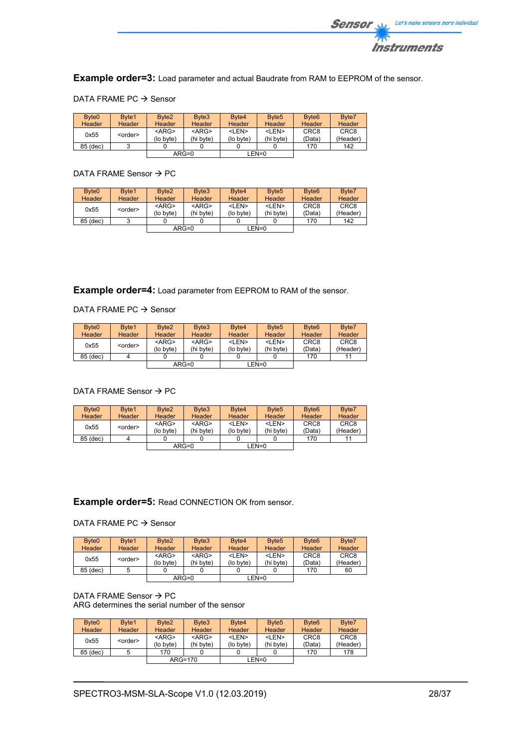

**Example order=3:** Load parameter and actual Baudrate from RAM to EEPROM of the sensor.

|  | DATA FRAME PC $\rightarrow$ Sensor |  |  |
|--|------------------------------------|--|--|
|--|------------------------------------|--|--|

| Byte <sub>0</sub><br><b>Header</b> | Byte1<br><b>Header</b> | Byte <sub>2</sub><br>Header | Byte3<br><b>Header</b>   | Byte4<br>Header           | Byte <sub>5</sub><br>Header | Byte <sub>6</sub><br><b>Header</b> | Byte7<br>Header              |
|------------------------------------|------------------------|-----------------------------|--------------------------|---------------------------|-----------------------------|------------------------------------|------------------------------|
| 0x55                               | <order></order>        | $<$ ARG><br>(lo byte)       | $<$ ARG $>$<br>(hi byte) | <len><br/>(lo byte)</len> | <len><br/>(hi byte)</len>   | CRC <sub>8</sub><br>(Data)         | CRC <sub>8</sub><br>(Header) |
| 85 (dec)                           |                        |                             |                          |                           |                             | 170                                | 142                          |
|                                    |                        |                             | $ARG=0$                  |                           | LEN=0                       |                                    |                              |

## DATA FRAME Sensor  $\rightarrow$  PC

| Byte <sub>0</sub> | Byte1           | Byte <sub>2</sub>     | Byte3                    | Byte4                     | Byte <sub>5</sub>         | Byte <sub>6</sub>          | Byte7                        |
|-------------------|-----------------|-----------------------|--------------------------|---------------------------|---------------------------|----------------------------|------------------------------|
| <b>Header</b>     | Header          | <b>Header</b>         | Header                   | Header                    | <b>Header</b>             | Header                     | Header                       |
| 0x55              | <order></order> | $<$ ARG><br>(lo byte) | $<$ ARG $>$<br>(hi byte) | <len><br/>(lo byte)</len> | $<$ I FN $>$<br>(hi byte) | CRC <sub>8</sub><br>(Data) | CRC <sub>8</sub><br>(Header) |
| 85 (dec)          |                 |                       |                          |                           |                           | 170                        | 142                          |
|                   |                 |                       | $ARG=0$                  |                           | LEN=0                     |                            |                              |

**Example order=4:** Load parameter from EEPROM to RAM of the sensor.

### DATA FRAME PC  $\rightarrow$  Sensor

| Byte <sub>0</sub><br><b>Header</b> | Byte1<br><b>Header</b> | Byte <sub>2</sub><br>Header | Byte3<br><b>Header</b>   | Byte4<br><b>Header</b>    | Byte <sub>5</sub><br>Header | Byte <sub>6</sub><br>Header | Byte7<br>Header              |
|------------------------------------|------------------------|-----------------------------|--------------------------|---------------------------|-----------------------------|-----------------------------|------------------------------|
| 0x55                               | <order></order>        | $<$ ARG><br>(lo byte)       | $<$ ARG $>$<br>(hi byte) | <len><br/>(lo byte)</len> | <len><br/>(hi byte)</len>   | CRC <sub>8</sub><br>(Data)  | CRC <sub>8</sub><br>(Header) |
| 85 (dec)                           |                        |                             |                          |                           |                             | 170                         |                              |
|                                    |                        |                             | $ARG=0$                  |                           | $LEN=0$                     |                             |                              |

### DATA FRAME Sensor  $\rightarrow$  PC

| Byte <sub>0</sub> | Byte1           | Byte <sub>2</sub> | Byte3       | Byte4<br>Header | Byte <sub>5</sub> | Byte <sub>6</sub><br>Header | Byte7            |
|-------------------|-----------------|-------------------|-------------|-----------------|-------------------|-----------------------------|------------------|
| <b>Header</b>     | Header          | <b>Header</b>     | Header      |                 | <b>Header</b>     |                             | Header           |
| 0x55              | <order></order> | $<$ ARG>          | $<$ ARG $>$ | <len></len>     | <len></len>       | CRC <sub>8</sub>            | CRC <sub>8</sub> |
|                   |                 | (lo byte)         | (hi byte)   | (lo byte)       | (hi byte)         | (Data)                      | (Header)         |
| 85 (dec)          |                 |                   |             |                 |                   | 170                         | 11               |
|                   |                 |                   | $ARG=0$     |                 | LEN=0             |                             |                  |

## **Example order=5:** Read CONNECTION OK from sensor.

### DATA FRAME PC  $\rightarrow$  Sensor

| Byte <sub>0</sub> | Byte1                   | Byte <sub>2</sub> | Byte3         | Byte4       | Byte <sub>5</sub> | Byte <sub>6</sub> | Byte7            |
|-------------------|-------------------------|-------------------|---------------|-------------|-------------------|-------------------|------------------|
| <b>Header</b>     | <b>Header</b>           | <b>Header</b>     | <b>Header</b> | Header      | Header            | <b>Header</b>     | Header           |
|                   |                         | $<$ ARG>          | $<$ ARG $>$   | <len></len> | <len></len>       | CRC <sub>8</sub>  | CRC <sub>8</sub> |
|                   | 0x55<br><order></order> |                   | (hi byte)     | (lo byte)   | (hi byte)         | (Data)            | (Header)         |
| 85 (dec)          |                         |                   |               |             |                   | 170               | 60               |
|                   |                         |                   | $ARG=0$       |             | EN=0_             |                   |                  |

### DATA FRAME Sensor  $\rightarrow$  PC ARG determines the serial number of the sensor

| Byte <sub>0</sub><br><b>Header</b> | Byte1<br><b>Header</b> | Byte <sub>2</sub><br>Header | Byte3<br>Header          | Byte4<br>Header           | Byte <sub>5</sub><br>Header | Byte <sub>6</sub><br><b>Header</b> | Byte7<br><b>Header</b>       |
|------------------------------------|------------------------|-----------------------------|--------------------------|---------------------------|-----------------------------|------------------------------------|------------------------------|
| 0x55                               | <order></order>        | $<$ ARG><br>(lo byte)       | $<$ ARG $>$<br>(hi byte) | <len><br/>(lo byte)</len> | <len><br/>(hi byte)</len>   | CRC <sub>8</sub><br>(Data)         | CRC <sub>8</sub><br>(Header) |
| 85 (dec)                           |                        | 170                         |                          |                           |                             | 170                                | 178                          |
|                                    |                        |                             | $ARG=170$                |                           | $LEN=0$                     |                                    |                              |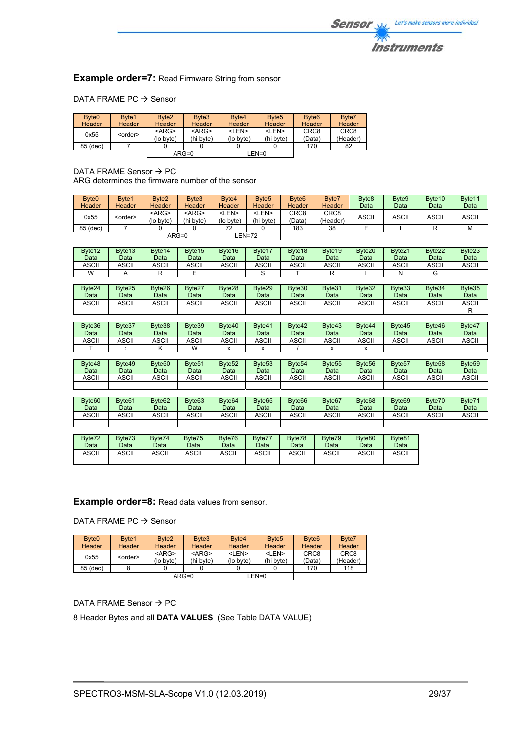## **Example order=7: Read Firmware String from sensor**

### DATA FRAME PC  $\rightarrow$  Sensor

| Byte <sub>0</sub><br><b>Header</b> | Byte1<br><b>Header</b> | Byte <sub>2</sub><br><b>Header</b> | Byte3<br>Header          | Byte4<br>Header           | Byte <sub>5</sub><br>Header | Byte <sub>6</sub><br><b>Header</b> | Byte7<br>Header              |
|------------------------------------|------------------------|------------------------------------|--------------------------|---------------------------|-----------------------------|------------------------------------|------------------------------|
| 0x55                               | <order></order>        | $<$ ARG $>$<br>(lo byte)           | $<$ ARG $>$<br>(hi byte) | <len><br/>(lo byte)</len> | <len><br/>(hi byte)</len>   | CRC <sub>8</sub><br>(Data)         | CRC <sub>8</sub><br>(Header) |
| 85 (dec)                           |                        |                                    |                          |                           |                             | 170                                | 82                           |
|                                    |                        |                                    | $ARG=0$                  | $LEN=0$                   |                             |                                    |                              |

DATA FRAME Sensor  $\rightarrow$  PC ARG determines the firmware number of the sensor

| Byte <sub>0</sub><br>Header | Byte1<br>Header | Byte <sub>2</sub><br><b>Header</b> | Byte3<br><b>Header</b>    | Byte4<br>Header           | Byte <sub>5</sub><br>Header | Byte <sub>6</sub><br><b>Header</b> | Byte7<br>Header  | Byte <sub>8</sub><br>Data | Byte9<br>Data | Byte <sub>10</sub><br>Data | Byte11<br>Data |
|-----------------------------|-----------------|------------------------------------|---------------------------|---------------------------|-----------------------------|------------------------------------|------------------|---------------------------|---------------|----------------------------|----------------|
| 0x55                        | <order></order> | $<$ ARG $>$<br>(lo byte)           | <arg><br/>(hi byte)</arg> | <len><br/>(lo byte)</len> | <len><br/>(hi bvte)</len>   | CRC <sub>8</sub><br>(Data`         | CRC8<br>(Header) | ASCII                     | <b>ASCII</b>  | ASCII                      | <b>ASCII</b>   |
| 85 (dec)                    |                 |                                    |                           | 72                        |                             | 183                                | 38               |                           |               |                            | м              |
|                             |                 |                                    | $ARG=0$                   |                           | EN=72-                      |                                    |                  |                           |               |                            |                |

| Byte <sub>12</sub><br>Data | Byte <sub>13</sub><br>Data | Byte <sub>14</sub><br>Datal | Byte <sub>15</sub><br>Data | Byte16<br>Data | Byte17<br>Data | Byte18<br>Data | Byte <sub>19</sub><br>Data | Byte20<br>Data | Byte21<br>Data | Byte22<br>Data | Byte23<br>Data |
|----------------------------|----------------------------|-----------------------------|----------------------------|----------------|----------------|----------------|----------------------------|----------------|----------------|----------------|----------------|
| <b>ASCII</b>               | <b>ASCII</b>               | ASCII                       | <b>ASCII</b>               | <b>ASCII</b>   | <b>ASCII</b>   | ASCII          | ASCII                      | <b>ASCII</b>   | ASCII          | ASCII          | ASCII          |
| W                          |                            |                             |                            |                |                |                |                            |                |                |                |                |

| Byte24<br>Data | Byte25<br>Data | Byte26<br>Data | Byte27<br>Data | Byte28<br>Data | Byte29<br>Data | Byte30<br>Data | Byte31<br>Data | Byte32<br>Data | Byte33<br>Data | Byte34<br>Data | Byte35<br>Data |
|----------------|----------------|----------------|----------------|----------------|----------------|----------------|----------------|----------------|----------------|----------------|----------------|
| <b>ASCII</b>   | <b>ASCII</b>   | ASCII          | <b>ASCII</b>   | ASCII          | ASCII          | <b>ASCII</b>   | <b>ASCII</b>   | <b>ASCII</b>   | ASCII          | ASCII          | ASCII          |
|                |                |                |                |                |                |                |                |                |                |                |                |

| Byte36<br>Data | Byte37<br>Data | Byte38<br>Data | Byte39<br>Data | Byte40<br>Data | Byte41<br><b>Data</b> | Byte42<br>Data | Byte43<br>Data | Byte44<br>Data | Byte45<br>Data | Byte46<br>Data | Byte47<br>Data |
|----------------|----------------|----------------|----------------|----------------|-----------------------|----------------|----------------|----------------|----------------|----------------|----------------|
| ASCII          | ASCII          | ASCII          | ASCII          | <b>ASCII</b>   | ASCII                 | ASCII          | <b>ASCII</b>   | ASCII          | ASCII          | ASCII          | <b>ASCII</b>   |
|                |                |                | $\overline{M}$ |                |                       |                |                |                |                |                |                |

| Byte48<br>Data | Byte49<br>Data | Byte <sub>50</sub><br>Data | Byte <sub>51</sub><br>Data | Byte <sub>52</sub><br>Data | Byte <sub>53</sub><br>Data | Byte <sub>54</sub><br>Data | Byte <sub>55</sub><br>Data | Byte <sub>56</sub><br>Data | Byte <sub>57</sub><br>Data | Byte <sub>58</sub><br>Data | Byte <sub>59</sub><br>Data |
|----------------|----------------|----------------------------|----------------------------|----------------------------|----------------------------|----------------------------|----------------------------|----------------------------|----------------------------|----------------------------|----------------------------|
| ASCII          | ASCII          | <b>\SCII</b>               | ASCII                      | ASCII                      | ASCII                      | ASCII                      | <b>ASCII</b>               | ASCII                      | اات<br>וושפו               | ASCII                      | ASCII                      |
|                |                |                            |                            |                            |                            |                            |                            |                            |                            |                            |                            |

| Byte60 | Byte <sub>61</sub> | Byte <sub>62</sub> | Byte <sub>63</sub> | Byte <sub>64</sub> | Byte <sub>65</sub> | Byte66       | Byte <sub>67</sub> | Byte <sub>68</sub> | Byte <sub>69</sub> | Byte70 | Byte71 |
|--------|--------------------|--------------------|--------------------|--------------------|--------------------|--------------|--------------------|--------------------|--------------------|--------|--------|
| Data   | Data               | Data               | Data               | Data               | Data               | Data         | Data               | Data               | Data               | Data   | Data   |
|        |                    |                    |                    |                    |                    |              |                    |                    |                    |        |        |
| ASCII  | ASCII              | ASCII              | <b>ASCII</b>       | ASCII              | <b>ASCII</b>       | <b>ASCII</b> | ASCII              | <b>ASCII</b>       | ASCII              | ASCII  | ASCII  |
|        |                    |                    |                    |                    |                    |              |                    |                    |                    |        |        |
|        |                    |                    |                    |                    |                    |              |                    |                    |                    |        |        |

| Byte72 | Byte73 | Byte74 | Byte75 | Byte76 | Byte77 | Byte78 | Byte79 | Byte80 | Byte81       |
|--------|--------|--------|--------|--------|--------|--------|--------|--------|--------------|
| Datal  | Data   | Data   | Data   | Data   | Data   | Data   | Data   | Data   | Data         |
| ASCII  | ASCII  | ASCII  | ASCII  | ASCII  | ASCII  | ASCII  | ASCII  | ASCII  | <b>ASCII</b> |
|        |        |        |        |        |        |        |        |        |              |

## **Example order=8:** Read data values from sensor.

DATA FRAME PC  $\rightarrow$  Sensor

| Byte <sub>0</sub> | Byte1           | Byte <sub>2</sub>     | Byte3                    | Byte4                     | Byte <sub>5</sub>         | Byte <sub>6</sub>          | Byte7                        |
|-------------------|-----------------|-----------------------|--------------------------|---------------------------|---------------------------|----------------------------|------------------------------|
| Header            | Header          | <b>Header</b>         | Header                   | Header                    | <b>Header</b>             | <b>Header</b>              | <b>Header</b>                |
| 0x55              | <order></order> | $<$ ARG><br>(lo byte) | $<$ ARG $>$<br>(hi byte) | <len><br/>(lo byte)</len> | $<$ I FN $>$<br>(hi byte) | CRC <sub>8</sub><br>(Data) | CRC <sub>8</sub><br>(Header) |
| 85 (dec)          |                 |                       |                          |                           |                           | 170                        | 118                          |
| $ARG=0$           |                 |                       | LEN=0                    |                           |                           |                            |                              |

## DATA FRAME Sensor  $\rightarrow$  PC

8 Header Bytes and all **DATA VALUES** (See Table DATA VALUE)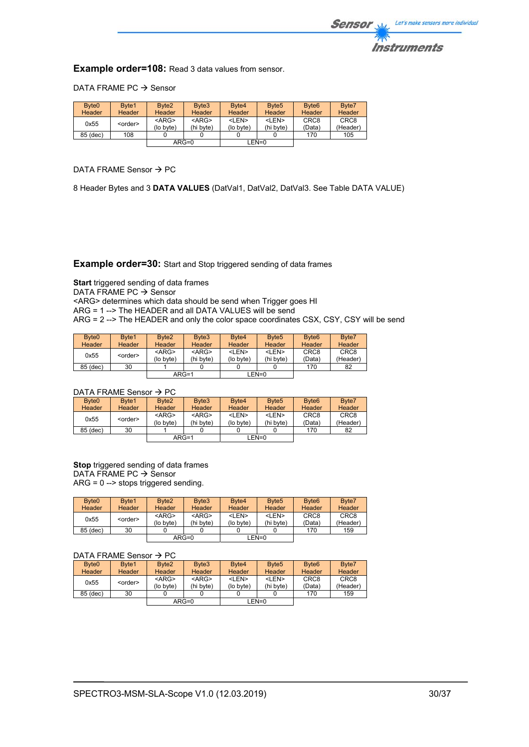

**Example order=108:** Read 3 data values from sensor.

DATA FRAME PC  $\rightarrow$  Sensor

| Byte <sub>0</sub> | Byte1           | Byte <sub>2</sub>     | Byte3                    | Byte4                     | Byte <sub>5</sub>         | Byte <sub>6</sub>          | Byte7                        |
|-------------------|-----------------|-----------------------|--------------------------|---------------------------|---------------------------|----------------------------|------------------------------|
| Header            | Header          | <b>Header</b>         | Header                   | Header                    | <b>Header</b>             | <b>Header</b>              | <b>Header</b>                |
| 0x55              | <order></order> | $<$ ARG><br>(lo byte) | $<$ ARG $>$<br>(hi byte) | <len><br/>(lo byte)</len> | <len><br/>(hi byte)</len> | CRC <sub>8</sub><br>(Data) | CRC <sub>8</sub><br>(Header) |
| 85 (dec)          | 108             |                       |                          |                           |                           | 170                        | 105                          |
| $ARG=0$           |                 |                       | LEN=0                    |                           |                           |                            |                              |

DATA FRAME Sensor  $\rightarrow$  PC

8 Header Bytes and 3 **DATA VALUES** (DatVal1, DatVal2, DatVal3. See Table DATA VALUE)

**Example order=30:** Start and Stop triggered sending of data frames

**Start** triggered sending of data frames DATA FRAME PC  $\rightarrow$  Sensor <ARG> determines which data should be send when Trigger goes HI ARG = 1 --> The HEADER and all DATA VALUES will be send ARG = 2 --> The HEADER and only the color space coordinates CSX, CSY, CSY will be send

| Byte <sub>0</sub>       | Byte1       | Byte <sub>2</sub> | Byte3       | Byte4         | Byte <sub>5</sub> | Byte <sub>6</sub> | Byte7         |
|-------------------------|-------------|-------------------|-------------|---------------|-------------------|-------------------|---------------|
| Header                  | Header      | Header            | Header      | <b>Header</b> | <b>Header</b>     | <b>Header</b>     | <b>Header</b> |
| 0x55<br><order></order> | $<$ ARG $>$ | $<$ ARG $>$       | <len></len> | <len></len>   | CRC <sub>8</sub>  | CRC <sub>8</sub>  |               |
|                         | (lo byte)   | (hi byte)         | (lo byte)   | (hi byte)     | (Data)            | (Header)          |               |
| 85 (dec)                | 30          |                   |             |               |                   | 170               | 82            |
| $ARG=1$                 |             |                   | EN=0_       |               |                   |                   |               |

### DATA FRAME Sensor  $\rightarrow$  PC

| Byte <sub>0</sub> | Byte1           | Byte <sub>2</sub>     | Byte3                    | Byte4                     | Byte <sub>5</sub>         | Byte <sub>6</sub>          | Byte7                        |
|-------------------|-----------------|-----------------------|--------------------------|---------------------------|---------------------------|----------------------------|------------------------------|
| <b>Header</b>     | Header          | Header                | Header                   | <b>Header</b>             | Header                    | Header                     | Header                       |
| 0x55              | <order></order> | $<$ ARG><br>(lo byte) | $<$ ARG $>$<br>(hi byte) | <len><br/>(lo byte)</len> | <len><br/>(hi byte)</len> | CRC <sub>8</sub><br>(Data) | CRC <sub>8</sub><br>(Header) |
| 85 (dec)          | 30              |                       |                          |                           |                           | 170                        | 82                           |
| $ARG=1$           |                 |                       | LEN=0                    |                           |                           |                            |                              |

**Stop** triggered sending of data frames  $DATA$  FRAME PC  $\rightarrow$  Sensor ARG = 0 --> stops triggered sending.

| Byte <sub>0</sub><br><b>Header</b> | Byte1<br><b>Header</b> | Byte <sub>2</sub><br>Header | Byte3<br>Header          | Byte4<br><b>Header</b>    | Byte <sub>5</sub><br>Header | Byte <sub>6</sub><br><b>Header</b> | Byte7<br><b>Header</b>       |
|------------------------------------|------------------------|-----------------------------|--------------------------|---------------------------|-----------------------------|------------------------------------|------------------------------|
| 0x55                               | <order></order>        | $<$ ARG><br>(lo bvte)       | $<$ ARG $>$<br>(hi byte) | <len><br/>(lo byte)</len> | <len><br/>(hi byte)</len>   | CRC <sub>8</sub><br>(Data)         | CRC <sub>8</sub><br>(Header) |
| 85 (dec)                           | 30                     |                             |                          |                           |                             | 170                                | 159                          |
| $ARG=0$                            |                        |                             | LEN=0                    |                           |                             |                                    |                              |

### DATA FRAME Sensor  $\rightarrow$  PC

| Byte <sub>0</sub> | Byte1           | Byte <sub>2</sub>     | Byte3                    | Byte4                     | Byte <sub>5</sub>         | Byte <sub>6</sub>          | Byte7                        |
|-------------------|-----------------|-----------------------|--------------------------|---------------------------|---------------------------|----------------------------|------------------------------|
| Header            | <b>Header</b>   | <b>Header</b>         | Header                   | Header                    | Header                    | <b>Header</b>              | Header                       |
| 0x55              | <order></order> | $<$ ARG><br>(lo byte) | $<$ ARG $>$<br>(hi byte) | <len><br/>(lo byte)</len> | <len><br/>(hi byte)</len> | CRC <sub>8</sub><br>(Data) | CRC <sub>8</sub><br>(Header) |
| 85 (dec)          | 30              |                       |                          |                           |                           | 170                        | 159                          |
|                   |                 | $ARG=0$               |                          |                           | LEN=0                     |                            |                              |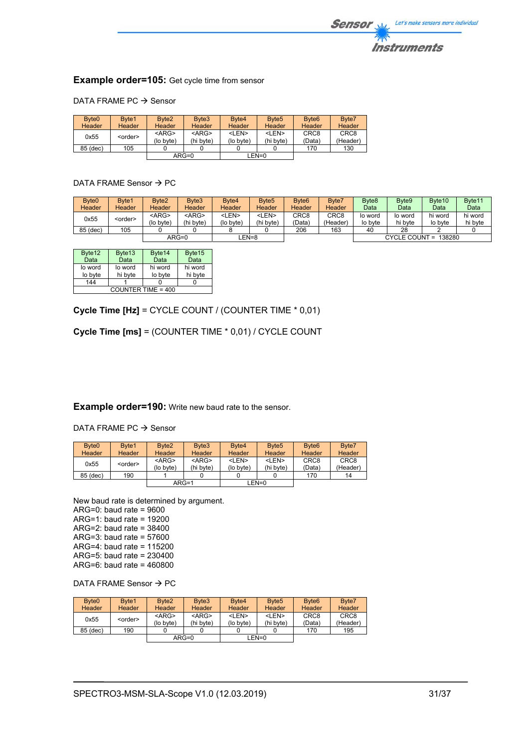

## **Example order=105:** Get cycle time from sensor

### DATA FRAME PC  $\rightarrow$  Sensor

| Byte <sub>0</sub>       | Byte1    | Byte <sub>2</sub> | Byte3       | Byte4       | Byte <sub>5</sub> | Byte <sub>6</sub> | Byte7    |
|-------------------------|----------|-------------------|-------------|-------------|-------------------|-------------------|----------|
| Header                  | Header   | <b>Header</b>     | Header      | Header      | <b>Header</b>     | Header            | Header   |
| 0x55<br><order></order> | $<$ ARG> | $<$ ARG $>$       | <len></len> | <len></len> | CRC <sub>8</sub>  | CRC <sub>8</sub>  |          |
|                         |          | (lo byte)         | (hi byte)   | (lo byte)   | (hi bvte)         | (Data)            | (Header) |
| 85 (dec)                | 105      |                   |             |             |                   | 170               | 130      |
| $ARG=0$                 |          | $LEN=0$           |             |             |                   |                   |          |

### DATA FRAME Sensor  $\rightarrow$  PC

| Byte <sub>0</sub> | Byte1           | Byte2         | Byte3         | Byte4       | Byte <sub>5</sub> | Byte <sub>6</sub>  | Byte7         | Byte <sub>8</sub> | Byte9   | Byte <sub>10</sub>   | Byte <sub>11</sub> |
|-------------------|-----------------|---------------|---------------|-------------|-------------------|--------------------|---------------|-------------------|---------|----------------------|--------------------|
| <b>Header</b>     | <b>Header</b>   | <b>Header</b> | <b>Header</b> | Header      | Header            | Header             | <b>Header</b> | Data              | Data    | Data                 | Data               |
| 0x55              |                 | <arg></arg>   | $<$ ARG $>$   | <len></len> | <len></len>       | CRC8               | CRC8          | lo word           | lo word | hi word              | hi word            |
|                   | <order></order> | (lo bvte)     | (hi byte)     | (lo byte)   | (hi byte)         | (Data <sup>:</sup> | (Header)      | lo byte           | hi byte | lo bvte              | hi byte            |
| 85 (dec)          | 105             |               |               |             |                   | 206                | 163           | 40                | 28      |                      |                    |
|                   |                 | $ARG=0$       |               |             | EN=8              |                    |               |                   |         | CYCLE COUNT = 138280 |                    |

| Byte12               | Byte13  | Byte14  | Byte15  |  |
|----------------------|---------|---------|---------|--|
| Data                 | Data    | Data    | Data    |  |
| lo word              | lo word | hi word | hi word |  |
| lo byte              | hi byte | lo byte | hi byte |  |
| 144                  |         |         |         |  |
| COUNTER TIME = $400$ |         |         |         |  |

**Cycle Time [Hz]** = CYCLE COUNT / (COUNTER TIME \* 0,01)

**Cycle Time [ms]** = (COUNTER TIME \* 0,01) / CYCLE COUNT

### **Example order=190:** Write new baud rate to the sensor.

DATA FRAME PC  $\rightarrow$  Sensor

| Byte <sub>0</sub> | Byte1           | Byte <sub>2</sub>     | Byte3                    | Byte4                     | Byte <sub>5</sub>         | Byte <sub>6</sub>          | Byte7                        |
|-------------------|-----------------|-----------------------|--------------------------|---------------------------|---------------------------|----------------------------|------------------------------|
| Header            | <b>Header</b>   | <b>Header</b>         | Header                   | Header                    | <b>Header</b>             | <b>Header</b>              | Header                       |
| 0x55              | <order></order> | $<$ ARG><br>(lo byte) | $<$ ARG $>$<br>(hi byte) | <len><br/>(lo byte)</len> | <len><br/>(hi byte)</len> | CRC <sub>8</sub><br>(Data) | CRC <sub>8</sub><br>(Header) |
| 85 (dec)          | 190             |                       |                          |                           |                           | 170                        | 14                           |
|                   | $ARG=1$         |                       |                          | $LEN=0$                   |                           |                            |                              |

New baud rate is determined by argument. ARG=0: baud rate = 9600 ARG=1: baud rate = 19200 ARG=2: baud rate = 38400 ARG=3: baud rate = 57600 ARG=4: baud rate = 115200 ARG=5: baud rate = 230400 ARG=6: baud rate = 460800

DATA FRAME Sensor  $\rightarrow$  PC

| Byte <sub>0</sub>       | Byte1         | Byte <sub>2</sub> | Byte3       | Byte4       | Byte <sub>5</sub> | Byte <sub>6</sub> | Byte7  |
|-------------------------|---------------|-------------------|-------------|-------------|-------------------|-------------------|--------|
| <b>Header</b>           | <b>Header</b> | <b>Header</b>     | Header      | Header      | <b>Header</b>     | <b>Header</b>     | Header |
| 0x55<br><order></order> | $<$ ARG>      | $<$ ARG $>$       | <len></len> | <len></len> | CRC <sub>8</sub>  | CRC <sub>8</sub>  |        |
|                         | (lo byte)     | (hi byte)         | (lo byte)   | (hi byte)   | (Data)            | (Header)          |        |
| 85 (dec)                | 190           |                   |             |             |                   | 170               | 195    |
|                         |               | $ARG=0$           |             | $LEN=0$     |                   |                   |        |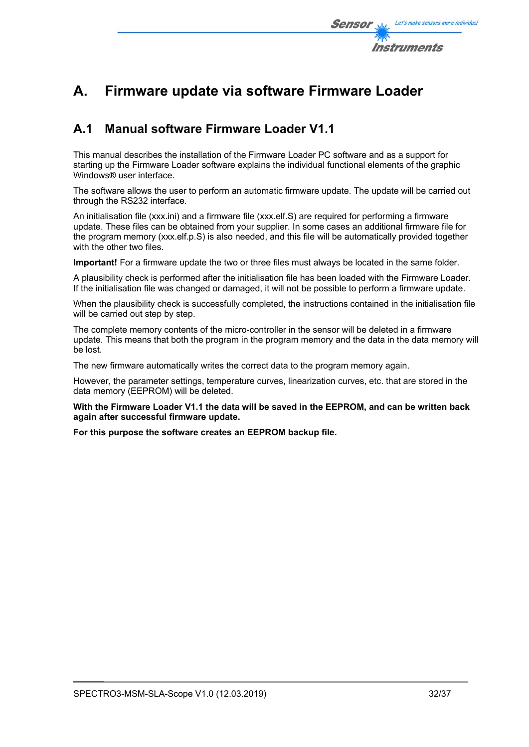

# **A. Firmware update via software Firmware Loader**

## **A.1 Manual software Firmware Loader V1.1**

This manual describes the installation of the Firmware Loader PC software and as a support for starting up the Firmware Loader software explains the individual functional elements of the graphic Windows® user interface.

The software allows the user to perform an automatic firmware update. The update will be carried out through the RS232 interface.

An initialisation file (xxx.ini) and a firmware file (xxx.elf.S) are required for performing a firmware update. These files can be obtained from your supplier. In some cases an additional firmware file for the program memory (xxx.elf.p.S) is also needed, and this file will be automatically provided together with the other two files.

**Important!** For a firmware update the two or three files must always be located in the same folder.

A plausibility check is performed after the initialisation file has been loaded with the Firmware Loader. If the initialisation file was changed or damaged, it will not be possible to perform a firmware update.

When the plausibility check is successfully completed, the instructions contained in the initialisation file will be carried out step by step.

The complete memory contents of the micro-controller in the sensor will be deleted in a firmware update. This means that both the program in the program memory and the data in the data memory will be lost.

The new firmware automatically writes the correct data to the program memory again.

However, the parameter settings, temperature curves, linearization curves, etc. that are stored in the data memory (EEPROM) will be deleted.

**With the Firmware Loader V1.1 the data will be saved in the EEPROM, and can be written back again after successful firmware update.** 

**For this purpose the software creates an EEPROM backup file.**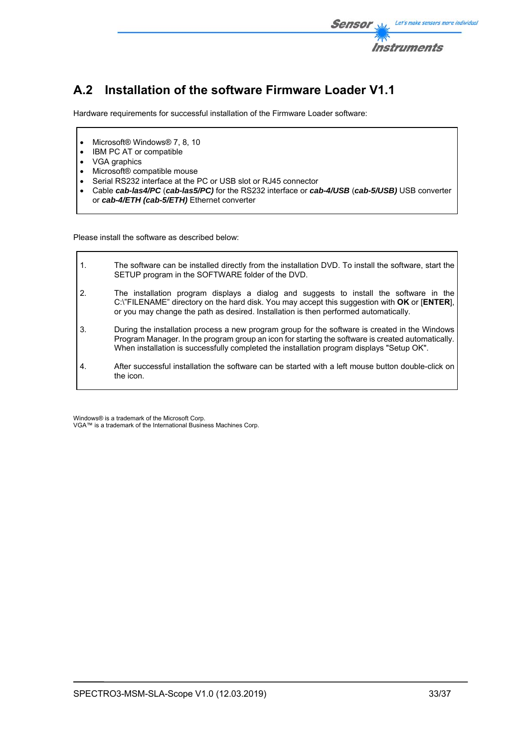

# **A.2 Installation of the software Firmware Loader V1.1**

Hardware requirements for successful installation of the Firmware Loader software:

- Microsoft® Windows® 7, 8, 10
- IBM PC AT or compatible
- VGA graphics
- Microsoft® compatible mouse
- Serial RS232 interface at the PC or USB slot or RJ45 connector
- Cable *cab-las4/PC* (*cab-las5/PC)* for the RS232 interface or *cab-4/USB* (*cab-5/USB)* USB converter or *cab-4/ETH (cab-5/ETH)* Ethernet converter

Please install the software as described below:

| $\mathbf{1}$ .   | The software can be installed directly from the installation DVD. To install the software, start the<br>SETUP program in the SOFTWARE folder of the DVD.                                                                                                                                         |
|------------------|--------------------------------------------------------------------------------------------------------------------------------------------------------------------------------------------------------------------------------------------------------------------------------------------------|
| $\overline{2}$ . | The installation program displays a dialog and suggests to install the software in the<br>C:\"FILENAME" directory on the hard disk. You may accept this suggestion with OK or [ENTER],<br>or you may change the path as desired. Installation is then performed automatically.                   |
| 3.               | During the installation process a new program group for the software is created in the Windows<br>Program Manager. In the program group an icon for starting the software is created automatically.<br>When installation is successfully completed the installation program displays "Setup OK". |
| $\mathbf{A}$ .   | After successful installation the software can be started with a left mouse button double-click on<br>the icon.                                                                                                                                                                                  |

Windows® is a trademark of the Microsoft Corp. VGA™ is a trademark of the International Business Machines Corp.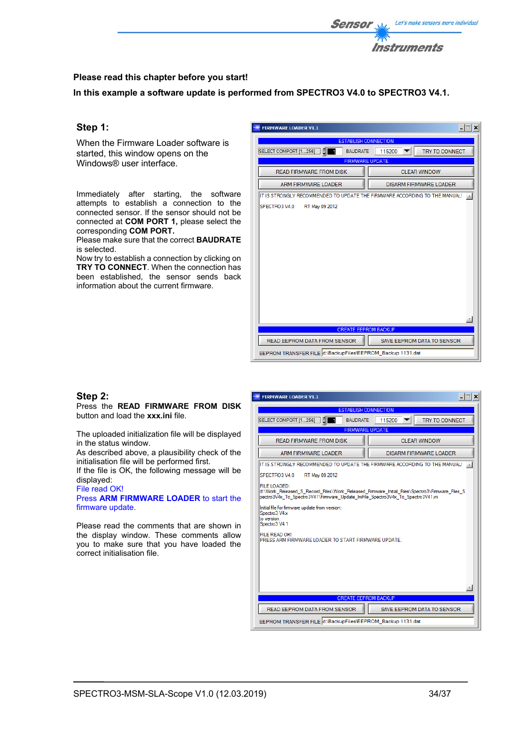

## **Please read this chapter before you start!**

**In this example a software update is performed from SPECTRO3 V4.0 to SPECTRO3 V4.1.** 

## **Step 1:**

When the Firmware Loader software is started, this window opens on the Windows® user interface.

Immediately after starting, the software attempts to establish a connection to the connected sensor. If the sensor should not be connected at **COM PORT 1,** please select the corresponding **COM PORT.** 

Please make sure that the correct **BAUDRATE** is selected.

Now try to establish a connection by clicking on **TRY TO CONNECT**. When the connection has been established, the sensor sends back information about the current firmware.

| <b>FIRMWARE LOADER V1.1</b>                                                |                               |  |  |  |
|----------------------------------------------------------------------------|-------------------------------|--|--|--|
| <b>ESTABLISH CONNECTION</b>                                                |                               |  |  |  |
| SELECT COMPORT [1256]<br><b>BAUDRATE</b>                                   | TRY TO CONNECT<br>115200      |  |  |  |
| <b>FIRMWARE UPDATE</b>                                                     |                               |  |  |  |
| <b>READ FIRMWARE FROM DISK</b>                                             | <b>CLEAR WINDOW</b>           |  |  |  |
| <b>ARM FIRMWARE LOADER</b>                                                 | <b>DISARM FIRMWARE LOADER</b> |  |  |  |
| IT IS STRONGLY RECOMMENDED TO UPDATE THE FIRMWARE ACCORDING TO THE MANUAL! |                               |  |  |  |
| RT May 09 2012<br>SPECTRO3 V4.0                                            |                               |  |  |  |
|                                                                            |                               |  |  |  |
|                                                                            |                               |  |  |  |
|                                                                            |                               |  |  |  |
|                                                                            |                               |  |  |  |
|                                                                            |                               |  |  |  |
|                                                                            |                               |  |  |  |
|                                                                            |                               |  |  |  |
|                                                                            |                               |  |  |  |
|                                                                            |                               |  |  |  |
|                                                                            |                               |  |  |  |
|                                                                            |                               |  |  |  |
|                                                                            |                               |  |  |  |
| <b>CREATE EEPROM BACKUP</b>                                                |                               |  |  |  |
| READ EEPROM DATA FROM SENSOR                                               | SAVE EEPROM DATA TO SENSOR    |  |  |  |
| EEPROM TRANSFER FILE d:\BackupFiles\EEPROM_Backup 1131.dat                 |                               |  |  |  |

### **Step 2:**

Press the **READ FIRMWARE FROM DISK** button and load the **xxx.ini** file.

The uploaded initialization file will be displayed in the status window.

As described above, a plausibility check of the initialisation file will be performed first.

If the file is OK, the following message will be displayed:

File read OK! Press **ARM FIRMWARE LOADER** to start the

firmware update.

Please read the comments that are shown in the display window. These comments allow you to make sure that you have loaded the correct initialisation file.

| <b>FIRMWARE LOADER V1.1</b>                                                                                                                                                                        | $  \square $ $\times$ $ $       |  |  |  |
|----------------------------------------------------------------------------------------------------------------------------------------------------------------------------------------------------|---------------------------------|--|--|--|
| <b>ESTABLISH CONNECTION</b>                                                                                                                                                                        |                                 |  |  |  |
| SELECT COMPORT [1256]<br><b>BAUDRATE</b>                                                                                                                                                           | <b>TRY TO CONNECT</b><br>115200 |  |  |  |
|                                                                                                                                                                                                    | <b>FIRMWARE UPDATE</b>          |  |  |  |
| <b>READ FIRMWARE FROM DISK</b>                                                                                                                                                                     | <b>CLEAR WINDOW</b>             |  |  |  |
| <b>ARM FIRMWARE LOADER</b>                                                                                                                                                                         | <b>DISARM FIRMWARE LOADER</b>   |  |  |  |
| IT IS STRONGLY RECOMMENDED TO UPDATE THE FIRMWARE ACCORDING TO THE MANUAL!                                                                                                                         |                                 |  |  |  |
| SPECTRO3 V4.0<br>RT May 09 2012                                                                                                                                                                    |                                 |  |  |  |
| FILE LOADED:<br>d:\Work Released S Record Files\Work Released Firmware Initial Files\Spectro3\Firmware Files S<br>pectro3V4x To Spectro3V41\Firmware Update IniFile Spectro3V4x To Spectro3V41.ini |                                 |  |  |  |
| Initial file for fimware update from version:<br>Spectro3 V4x<br>to version:<br>Spectro3 V4.1                                                                                                      |                                 |  |  |  |
| FILE READ OK!<br>PRESS ARM FIRMWARE LOADER TO START FIRMWARE UPDATE.                                                                                                                               |                                 |  |  |  |
|                                                                                                                                                                                                    |                                 |  |  |  |
|                                                                                                                                                                                                    |                                 |  |  |  |
|                                                                                                                                                                                                    |                                 |  |  |  |
| <b>CREATE EEPROM BACKUP</b>                                                                                                                                                                        |                                 |  |  |  |
| <b>READ EEPROM DATA FROM SENSOR</b>                                                                                                                                                                | SAVE EEPROM DATA TO SENSOR      |  |  |  |
| EEPROM TRANSFER FILE d:\BackupFiles\EEPROM_Backup 1131.dat                                                                                                                                         |                                 |  |  |  |

 $\sim$   $\sim$   $\sim$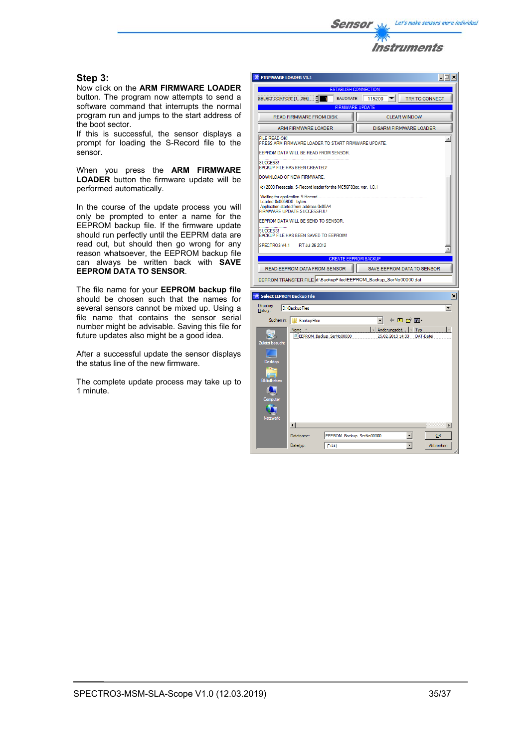

## **Step 3:**

Now click on the **ARM FIRMWARE LOADER**  button. The program now attempts to send a software command that interrupts the normal program run and jumps to the start address of the boot sector.

If this is successful, the sensor displays a prompt for loading the S-Record file to the sensor.

When you press the **ARM FIRMWARE LOADER** button the firmware update will be performed automatically.

In the course of the update process you will only be prompted to enter a name for the EEPROM backup file. If the firmware update should run perfectly until the EEPRM data are read out, but should then go wrong for any reason whatsoever, the EEPROM backup file can always be written back with **SAVE EEPROM DATA TO SENSOR**.

The file name for your **EEPROM backup file** should be chosen such that the names for several sensors cannot be mixed up. Using a file name that contains the sensor serial number might be advisable. Saving this file for future updates also might be a good idea.

After a successful update the sensor displays the status line of the new firmware.

The complete update process may take up to 1 minute.

| <b>FIRMWARE LOADER V1.1</b> |                                                                                                               |                          |                                                                  |                               | $\Box$                   |
|-----------------------------|---------------------------------------------------------------------------------------------------------------|--------------------------|------------------------------------------------------------------|-------------------------------|--------------------------|
| <b>ESTABLISH CONNECTION</b> |                                                                                                               |                          |                                                                  |                               |                          |
|                             | SELECT COMPORT [1256]                                                                                         | <b>BAUDRATE</b>          | 115200                                                           | <b>TRY TO CONNECT</b>         |                          |
|                             |                                                                                                               |                          | <b>FIRMWARE UPDATE</b>                                           |                               |                          |
|                             | <b>READ FIRMWARE FROM DISK</b>                                                                                |                          |                                                                  | <b>CLEAR WINDOW</b>           |                          |
|                             | <b>ARM FIRMWARE LOADER</b>                                                                                    |                          |                                                                  | <b>DISARM FIRMWARE LOADER</b> |                          |
| <b>FILE READ OK!</b>        |                                                                                                               |                          |                                                                  |                               | ۸                        |
|                             | PRESS ARM FIRMWARE LOADER TO START FIRMWARE UPDATE.<br>EEPROM DATA WILL BE READ FROM SENSOR.                  |                          |                                                                  |                               |                          |
| SUCCESS!                    | BACKUP FILE HAS BEEN CREATED!                                                                                 |                          |                                                                  |                               |                          |
|                             | DOWNLOAD OF NEW FIRMWARE.                                                                                     |                          |                                                                  |                               |                          |
|                             | (c) 2003 Freescale. S-Record loader for the MC56F83xx. ver. 1.0.1                                             |                          |                                                                  |                               |                          |
| Loaded 0x0059D0 bytes.      | Application started from address 0x00A4<br>FIRMWARE UPDATE SUCCESSFUL!<br>EEPROM DATA WILL BE SEND TO SENSOR. |                          |                                                                  |                               |                          |
| SUCCESS!                    | BACKUP FILE HAS BEEN SAVED TO EEPROM!                                                                         |                          |                                                                  |                               |                          |
| SPECTRO3 V4.1               | RT Jul 26 2012                                                                                                |                          |                                                                  |                               |                          |
|                             |                                                                                                               |                          |                                                                  |                               |                          |
| <b>CREATE EEPROM BACKUP</b> |                                                                                                               |                          |                                                                  |                               |                          |
|                             |                                                                                                               |                          |                                                                  |                               |                          |
|                             | READ EEPROM DATA FROM SENSOR                                                                                  |                          |                                                                  | SAVE EEPROM DATA TO SENSOR    |                          |
|                             |                                                                                                               |                          | EEPROM TRANSFER FILE d:\BackupFiles\EEPROM_Backup_SerNo00000.dat |                               |                          |
|                             | <b>Select EEPROM Backup File</b>                                                                              |                          |                                                                  |                               | ×                        |
| Directory                   |                                                                                                               |                          |                                                                  |                               | $\overline{\phantom{a}}$ |
| History:                    | D:\BackupFiles                                                                                                |                          |                                                                  |                               |                          |
|                             | Suchen in:       BackupFiles                                                                                  |                          |                                                                  | ←自啓丽・                         |                          |
|                             | Name $-$<br>EEPROM Backup SerNo00000                                                                          |                          | - Änderungsdat   - Typ<br>25.02.2013 14:33                       | DAT-Datei                     |                          |
| Zuletzt besucht             |                                                                                                               |                          |                                                                  |                               |                          |
|                             |                                                                                                               |                          |                                                                  |                               |                          |
| <b>Desktop</b>              |                                                                                                               |                          |                                                                  |                               |                          |
| <b>Bibliotheken</b>         |                                                                                                               |                          |                                                                  |                               |                          |
|                             |                                                                                                               |                          |                                                                  |                               |                          |
| Computer                    |                                                                                                               |                          |                                                                  |                               |                          |
| Netzwerk                    |                                                                                                               |                          |                                                                  |                               |                          |
|                             | $\left  \cdot \right $                                                                                        |                          |                                                                  |                               | $\blacktriangleright$    |
|                             | Dateiname:                                                                                                    | EEPROM Backup SerNo00000 |                                                                  | $\overline{\phantom{a}}$      | QK                       |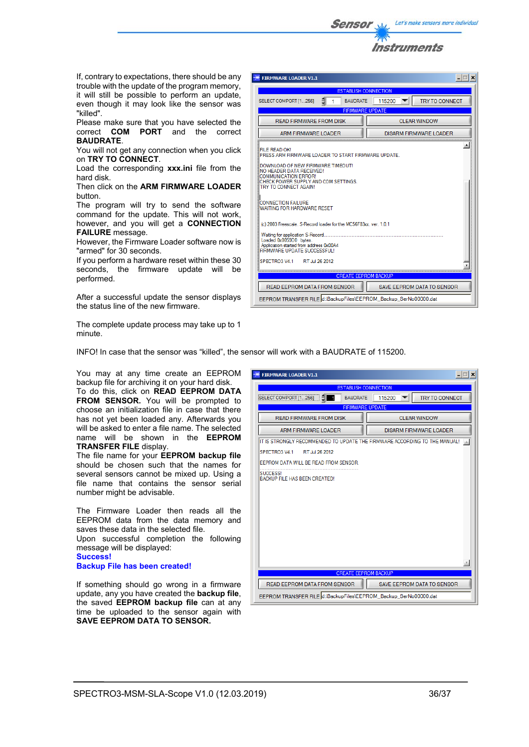

If, contrary to expectations, there should be any trouble with the update of the program memory, it will still be possible to perform an update, even though it may look like the sensor was "killed".

Please make sure that you have selected the correct **COM PORT** and the correct **BAUDRATE**.

You will not get any connection when you click on **TRY TO CONNECT**.

Load the corresponding **xxx.ini** file from the hard disk.

Then click on the **ARM FIRMWARE LOADER** button.

The program will try to send the software command for the update. This will not work, however, and you will get a **CONNECTION FAILURE** message.

However, the Firmware Loader software now is "armed" for 30 seconds.

If you perform a hardware reset within these 30 seconds, the firmware update will be performed.

After a successful update the sensor displays the status line of the new firmware.

The complete update process may take up to 1 minute.

| <b>FIRMWARE LOADER V1.1</b>                                                                                                                                                                                                           | $ \Box$ $\times$                  |  |  |  |
|---------------------------------------------------------------------------------------------------------------------------------------------------------------------------------------------------------------------------------------|-----------------------------------|--|--|--|
| <b>ESTABLISH CONNECTION</b>                                                                                                                                                                                                           |                                   |  |  |  |
| SELECT COMPORT [1256]<br><b>BAUDRATE</b>                                                                                                                                                                                              | 115200<br><b>TRY TO CONNECT</b>   |  |  |  |
| <b>FIRMWARE UPDATE</b>                                                                                                                                                                                                                |                                   |  |  |  |
| <b>READ FIRMWARE FROM DISK</b>                                                                                                                                                                                                        | CLEAR WINDOW                      |  |  |  |
| ARM FIRMWARE LOADER                                                                                                                                                                                                                   | DISARM FIRMWARE LOADER            |  |  |  |
| FILE READ OK!<br>PRESS ARM FIRMWARE LOADER TO START FIRMWARE UPDATE.<br>DOWNLOAD OF NEW FIRMWARE.TIMEOUT!<br>NO HEADER DATA RECEIVED!<br><b>COMMUNICATION ERROR!</b><br>CHECK POWER SUPPLY AND COM SETTINGS.<br>TRY TO CONNECT AGAIN! |                                   |  |  |  |
| CONNECTION FAILURE<br>WAITING FOR HARDWARE RESET                                                                                                                                                                                      |                                   |  |  |  |
| (c) 2003 Freescale, S-Record loader for the MC56F83xx, ver. 1.0.1                                                                                                                                                                     |                                   |  |  |  |
| Waiting for application S-Record<br>Loaded 0x0059D0 bytes.<br>Application started from address 0x00A4<br>FIRMWARE UPDATE SUCCESSFUL!                                                                                                  |                                   |  |  |  |
| SPECTRO3 V4.1<br>RT Jul 26 2012                                                                                                                                                                                                       |                                   |  |  |  |
| <b>CREATE EEPROM BACKUP</b>                                                                                                                                                                                                           |                                   |  |  |  |
| <b>READ EEPROM DATA FROM SENSOR</b>                                                                                                                                                                                                   | <b>SAVE EEPROM DATA TO SENSOR</b> |  |  |  |
| EEPROM TRANSFER FILE d:\BackupFiles\EEPROM_Backup_SerNo00000.dat                                                                                                                                                                      |                                   |  |  |  |

INFO! In case that the sensor was "killed", the sensor will work with a BAUDRATE of 115200.

You may at any time create an EEPROM backup file for archiving it on your hard disk. To do this, click on **READ EEPROM DATA FROM SENSOR.** You will be prompted to choose an initialization file in case that there has not yet been loaded any. Afterwards you will be asked to enter a file name. The selected

name will be shown in the **EEPROM TRANSFER FILE** display. The file name for your **EEPROM backup file**

should be chosen such that the names for several sensors cannot be mixed up. Using a file name that contains the sensor serial number might be advisable.

The Firmware Loader then reads all the EEPROM data from the data memory and saves these data in the selected file. Upon successful completion the following message will be displayed: **Success! Backup File has been created!** 

If something should go wrong in a firmware update, any you have created the **backup file**, the saved **EEPROM backup file** can at any time be uploaded to the sensor again with **SAVE EEPROM DATA TO SENSOR.** 

| <b>FIRMWARE LOADER V1.1</b>                                                | $ \Box$ $\times$                |  |  |  |
|----------------------------------------------------------------------------|---------------------------------|--|--|--|
| <b>ESTABLISH CONNECTION</b>                                                |                                 |  |  |  |
| <b>BAUDRATE</b><br>SELECT COMPORT [1256]                                   | 115200<br><b>TRY TO CONNECT</b> |  |  |  |
| <b>FIRMWARE UPDATE</b>                                                     |                                 |  |  |  |
| READ FIRMWARE FROM DISK                                                    | CLEAR WINDOW                    |  |  |  |
| <b>ARM FIRMWARE LOADER</b>                                                 | DISARM FIRMWARE LOADER          |  |  |  |
| IT IS STRONGLY RECOMMENDED TO UPDATE THE FIRMWARE ACCORDING TO THE MANUAL! |                                 |  |  |  |
| RT Jul 26 2012<br>SPECTRO3 V4 1                                            |                                 |  |  |  |
| EEPROM DATA WILL BE READ FROM SENSOR.                                      |                                 |  |  |  |
| <b>SUCCESS!</b><br>BACKUP FILE HAS BEEN CREATED!                           |                                 |  |  |  |
| <b>CREATE EEPROM BACKUP</b>                                                |                                 |  |  |  |
|                                                                            |                                 |  |  |  |
| READ EEPROM DATA FROM SENSOR                                               | SAVE EEPROM DATA TO SENSOR      |  |  |  |
| EEPROM TRANSFER FILE d:\BackupFiles\EEPROM_Backup_SerNo00000.dat           |                                 |  |  |  |